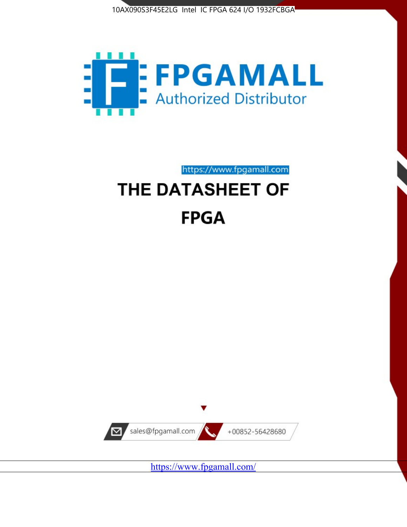



https://www.fpgamall.com

# THE DATASHEET OF **FPGA**



<https://www.fpgamall.com/>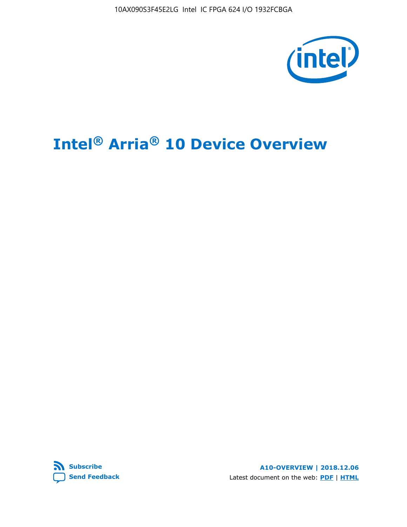10AX090S3F45E2LG Intel IC FPGA 624 I/O 1932FCBGA



# **Intel® Arria® 10 Device Overview**



**A10-OVERVIEW | 2018.12.06** Latest document on the web: **[PDF](https://www.intel.com/content/dam/www/programmable/us/en/pdfs/literature/hb/arria-10/a10_overview.pdf)** | **[HTML](https://www.intel.com/content/www/us/en/programmable/documentation/sam1403480274650.html)**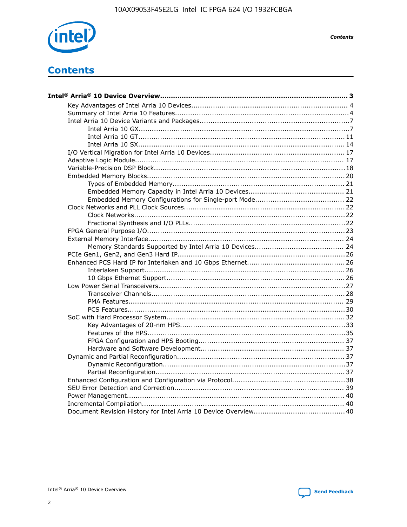

**Contents** 

# **Contents**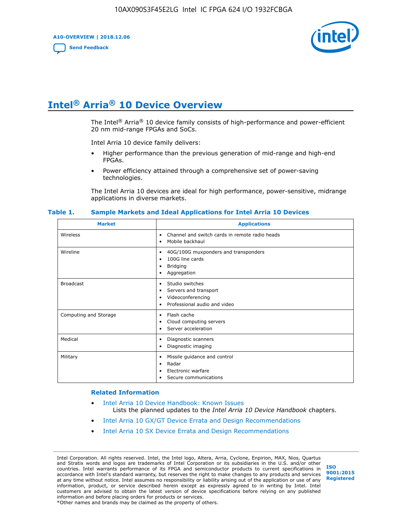**A10-OVERVIEW | 2018.12.06**

**[Send Feedback](mailto:FPGAtechdocfeedback@intel.com?subject=Feedback%20on%20Intel%20Arria%2010%20Device%20Overview%20(A10-OVERVIEW%202018.12.06)&body=We%20appreciate%20your%20feedback.%20In%20your%20comments,%20also%20specify%20the%20page%20number%20or%20paragraph.%20Thank%20you.)**



# **Intel® Arria® 10 Device Overview**

The Intel<sup>®</sup> Arria<sup>®</sup> 10 device family consists of high-performance and power-efficient 20 nm mid-range FPGAs and SoCs.

Intel Arria 10 device family delivers:

- Higher performance than the previous generation of mid-range and high-end FPGAs.
- Power efficiency attained through a comprehensive set of power-saving technologies.

The Intel Arria 10 devices are ideal for high performance, power-sensitive, midrange applications in diverse markets.

| <b>Market</b>         | <b>Applications</b>                                                                                               |
|-----------------------|-------------------------------------------------------------------------------------------------------------------|
| Wireless              | Channel and switch cards in remote radio heads<br>٠<br>Mobile backhaul<br>٠                                       |
| Wireline              | 40G/100G muxponders and transponders<br>٠<br>100G line cards<br>٠<br><b>Bridging</b><br>٠<br>Aggregation<br>٠     |
| <b>Broadcast</b>      | Studio switches<br>٠<br>Servers and transport<br>٠<br>Videoconferencing<br>٠<br>Professional audio and video<br>٠ |
| Computing and Storage | Flash cache<br>٠<br>Cloud computing servers<br>٠<br>Server acceleration<br>٠                                      |
| Medical               | Diagnostic scanners<br>٠<br>Diagnostic imaging<br>٠                                                               |
| Military              | Missile guidance and control<br>٠<br>Radar<br>٠<br>Electronic warfare<br>٠<br>Secure communications<br>٠          |

#### **Table 1. Sample Markets and Ideal Applications for Intel Arria 10 Devices**

#### **Related Information**

- [Intel Arria 10 Device Handbook: Known Issues](http://www.altera.com/support/kdb/solutions/rd07302013_646.html) Lists the planned updates to the *Intel Arria 10 Device Handbook* chapters.
- [Intel Arria 10 GX/GT Device Errata and Design Recommendations](https://www.intel.com/content/www/us/en/programmable/documentation/agz1493851706374.html#yqz1494433888646)
- [Intel Arria 10 SX Device Errata and Design Recommendations](https://www.intel.com/content/www/us/en/programmable/documentation/cru1462832385668.html#cru1462832558642)

Intel Corporation. All rights reserved. Intel, the Intel logo, Altera, Arria, Cyclone, Enpirion, MAX, Nios, Quartus and Stratix words and logos are trademarks of Intel Corporation or its subsidiaries in the U.S. and/or other countries. Intel warrants performance of its FPGA and semiconductor products to current specifications in accordance with Intel's standard warranty, but reserves the right to make changes to any products and services at any time without notice. Intel assumes no responsibility or liability arising out of the application or use of any information, product, or service described herein except as expressly agreed to in writing by Intel. Intel customers are advised to obtain the latest version of device specifications before relying on any published information and before placing orders for products or services. \*Other names and brands may be claimed as the property of others.

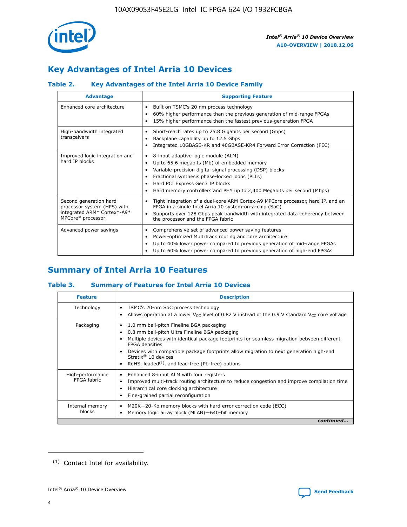

# **Key Advantages of Intel Arria 10 Devices**

## **Table 2. Key Advantages of the Intel Arria 10 Device Family**

| <b>Advantage</b>                                                                                          | <b>Supporting Feature</b>                                                                                                                                                                                                                                                                                                |  |  |  |  |  |  |
|-----------------------------------------------------------------------------------------------------------|--------------------------------------------------------------------------------------------------------------------------------------------------------------------------------------------------------------------------------------------------------------------------------------------------------------------------|--|--|--|--|--|--|
| Enhanced core architecture                                                                                | Built on TSMC's 20 nm process technology<br>٠<br>60% higher performance than the previous generation of mid-range FPGAs<br>٠<br>15% higher performance than the fastest previous-generation FPGA<br>٠                                                                                                                    |  |  |  |  |  |  |
| High-bandwidth integrated<br>transceivers                                                                 | Short-reach rates up to 25.8 Gigabits per second (Gbps)<br>٠<br>Backplane capability up to 12.5 Gbps<br>٠<br>Integrated 10GBASE-KR and 40GBASE-KR4 Forward Error Correction (FEC)<br>٠                                                                                                                                   |  |  |  |  |  |  |
| Improved logic integration and<br>hard IP blocks                                                          | 8-input adaptive logic module (ALM)<br>٠<br>Up to 65.6 megabits (Mb) of embedded memory<br>٠<br>Variable-precision digital signal processing (DSP) blocks<br>Fractional synthesis phase-locked loops (PLLs)<br>Hard PCI Express Gen3 IP blocks<br>Hard memory controllers and PHY up to 2,400 Megabits per second (Mbps) |  |  |  |  |  |  |
| Second generation hard<br>processor system (HPS) with<br>integrated ARM* Cortex*-A9*<br>MPCore* processor | Tight integration of a dual-core ARM Cortex-A9 MPCore processor, hard IP, and an<br>٠<br>FPGA in a single Intel Arria 10 system-on-a-chip (SoC)<br>Supports over 128 Gbps peak bandwidth with integrated data coherency between<br>$\bullet$<br>the processor and the FPGA fabric                                        |  |  |  |  |  |  |
| Advanced power savings                                                                                    | Comprehensive set of advanced power saving features<br>٠<br>Power-optimized MultiTrack routing and core architecture<br>٠<br>Up to 40% lower power compared to previous generation of mid-range FPGAs<br>٠<br>Up to 60% lower power compared to previous generation of high-end FPGAs                                    |  |  |  |  |  |  |

# **Summary of Intel Arria 10 Features**

## **Table 3. Summary of Features for Intel Arria 10 Devices**

| <b>Feature</b>                  | <b>Description</b>                                                                                                                                                                                                                                                                                                                                                                                       |
|---------------------------------|----------------------------------------------------------------------------------------------------------------------------------------------------------------------------------------------------------------------------------------------------------------------------------------------------------------------------------------------------------------------------------------------------------|
| Technology                      | TSMC's 20-nm SoC process technology<br>٠<br>Allows operation at a lower $V_{\text{CC}}$ level of 0.82 V instead of the 0.9 V standard $V_{\text{CC}}$ core voltage                                                                                                                                                                                                                                       |
| Packaging                       | 1.0 mm ball-pitch Fineline BGA packaging<br>0.8 mm ball-pitch Ultra Fineline BGA packaging<br>Multiple devices with identical package footprints for seamless migration between different<br><b>FPGA</b> densities<br>Devices with compatible package footprints allow migration to next generation high-end<br>Stratix $\mathcal{R}$ 10 devices<br>RoHS, leaded $(1)$ , and lead-free (Pb-free) options |
| High-performance<br>FPGA fabric | Enhanced 8-input ALM with four registers<br>٠<br>Improved multi-track routing architecture to reduce congestion and improve compilation time<br>Hierarchical core clocking architecture<br>Fine-grained partial reconfiguration                                                                                                                                                                          |
| Internal memory<br>blocks       | M20K-20-Kb memory blocks with hard error correction code (ECC)<br>Memory logic array block (MLAB)-640-bit memory                                                                                                                                                                                                                                                                                         |
|                                 | continued                                                                                                                                                                                                                                                                                                                                                                                                |



<sup>(1)</sup> Contact Intel for availability.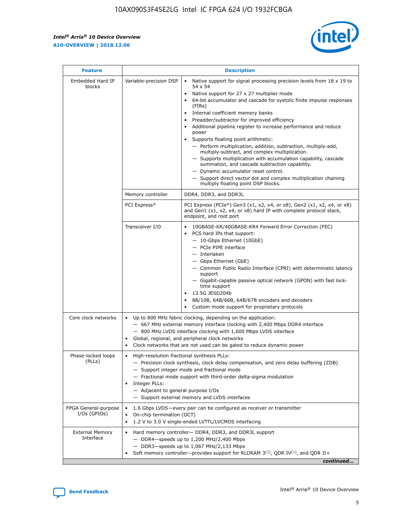$\mathbf{r}$ 



| <b>Feature</b>                         | <b>Description</b>                                                                                     |                                                                                                                                                                                                                                                                                                                                                                                                                                                                                                                                                                                                                                                                                                                                                                                                                                                                               |  |  |  |  |  |
|----------------------------------------|--------------------------------------------------------------------------------------------------------|-------------------------------------------------------------------------------------------------------------------------------------------------------------------------------------------------------------------------------------------------------------------------------------------------------------------------------------------------------------------------------------------------------------------------------------------------------------------------------------------------------------------------------------------------------------------------------------------------------------------------------------------------------------------------------------------------------------------------------------------------------------------------------------------------------------------------------------------------------------------------------|--|--|--|--|--|
| Embedded Hard IP<br>blocks             | Variable-precision DSP                                                                                 | Native support for signal processing precision levels from $18 \times 19$ to<br>$\bullet$<br>54 x 54<br>Native support for 27 x 27 multiplier mode<br>$\bullet$<br>64-bit accumulator and cascade for systolic finite impulse responses<br>$\bullet$<br>(FIRs)<br>Internal coefficient memory banks<br>$\bullet$<br>Preadder/subtractor for improved efficiency<br>Additional pipeline register to increase performance and reduce<br>power<br>Supports floating point arithmetic:<br>- Perform multiplication, addition, subtraction, multiply-add,<br>multiply-subtract, and complex multiplication.<br>- Supports multiplication with accumulation capability, cascade<br>summation, and cascade subtraction capability.<br>- Dynamic accumulator reset control.<br>- Support direct vector dot and complex multiplication chaining<br>multiply floating point DSP blocks. |  |  |  |  |  |
|                                        | Memory controller                                                                                      | DDR4, DDR3, and DDR3L                                                                                                                                                                                                                                                                                                                                                                                                                                                                                                                                                                                                                                                                                                                                                                                                                                                         |  |  |  |  |  |
|                                        | PCI Express*                                                                                           | PCI Express (PCIe*) Gen3 (x1, x2, x4, or x8), Gen2 (x1, x2, x4, or x8)<br>and Gen1 (x1, x2, x4, or x8) hard IP with complete protocol stack,<br>endpoint, and root port                                                                                                                                                                                                                                                                                                                                                                                                                                                                                                                                                                                                                                                                                                       |  |  |  |  |  |
|                                        | Transceiver I/O                                                                                        | 10GBASE-KR/40GBASE-KR4 Forward Error Correction (FEC)<br>PCS hard IPs that support:<br>٠<br>- 10-Gbps Ethernet (10GbE)<br>- PCIe PIPE interface<br>- Interlaken<br>- Gbps Ethernet (GbE)<br>- Common Public Radio Interface (CPRI) with deterministic latency<br>support<br>- Gigabit-capable passive optical network (GPON) with fast lock-<br>time support<br>13.5G JESD204b<br>$\bullet$<br>8B/10B, 64B/66B, 64B/67B encoders and decoders<br>$\bullet$<br>Custom mode support for proprietary protocols                                                                                                                                                                                                                                                                                                                                                                   |  |  |  |  |  |
| Core clock networks                    | $\bullet$                                                                                              | Up to 800 MHz fabric clocking, depending on the application:<br>- 667 MHz external memory interface clocking with 2,400 Mbps DDR4 interface<br>- 800 MHz LVDS interface clocking with 1,600 Mbps LVDS interface<br>Global, regional, and peripheral clock networks<br>Clock networks that are not used can be gated to reduce dynamic power                                                                                                                                                                                                                                                                                                                                                                                                                                                                                                                                   |  |  |  |  |  |
| Phase-locked loops<br>(PLLs)           | High-resolution fractional synthesis PLLs:<br>٠<br>Integer PLLs:<br>- Adjacent to general purpose I/Os | - Precision clock synthesis, clock delay compensation, and zero delay buffering (ZDB)<br>- Support integer mode and fractional mode<br>- Fractional mode support with third-order delta-sigma modulation<br>- Support external memory and LVDS interfaces                                                                                                                                                                                                                                                                                                                                                                                                                                                                                                                                                                                                                     |  |  |  |  |  |
| FPGA General-purpose<br>$I/Os$ (GPIOs) | On-chip termination (OCT)<br>٠                                                                         | 1.6 Gbps LVDS-every pair can be configured as receiver or transmitter<br>1.2 V to 3.0 V single-ended LVTTL/LVCMOS interfacing                                                                                                                                                                                                                                                                                                                                                                                                                                                                                                                                                                                                                                                                                                                                                 |  |  |  |  |  |
| <b>External Memory</b><br>Interface    | $\bullet$                                                                                              | Hard memory controller- DDR4, DDR3, and DDR3L support<br>$-$ DDR4 $-$ speeds up to 1,200 MHz/2,400 Mbps<br>- DDR3-speeds up to 1,067 MHz/2,133 Mbps<br>Soft memory controller—provides support for RLDRAM $3^{(2)}$ , QDR IV $^{(2)}$ , and QDR II+<br>continued                                                                                                                                                                                                                                                                                                                                                                                                                                                                                                                                                                                                              |  |  |  |  |  |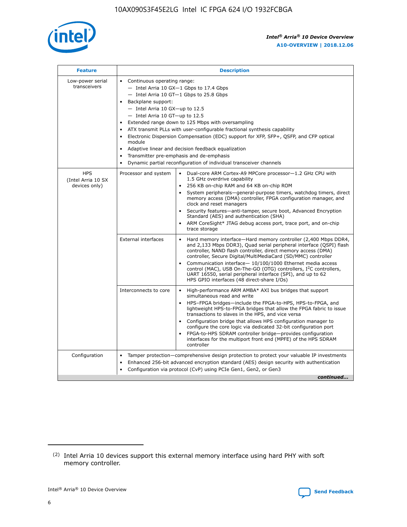

| <b>Feature</b>                                    | <b>Description</b>                                                                                                                                                                                                                                                                                                                                                                                                                                                                                                                                                                                                                                                      |
|---------------------------------------------------|-------------------------------------------------------------------------------------------------------------------------------------------------------------------------------------------------------------------------------------------------------------------------------------------------------------------------------------------------------------------------------------------------------------------------------------------------------------------------------------------------------------------------------------------------------------------------------------------------------------------------------------------------------------------------|
| Low-power serial<br>transceivers                  | • Continuous operating range:<br>- Intel Arria 10 GX-1 Gbps to 17.4 Gbps<br>$-$ Intel Arria 10 GT $-1$ Gbps to 25.8 Gbps<br>Backplane support:<br>$\bullet$<br>$-$ Intel Arria 10 GX-up to 12.5<br>- Intel Arria 10 GT-up to 12.5<br>Extended range down to 125 Mbps with oversampling<br>ATX transmit PLLs with user-configurable fractional synthesis capability<br>Electronic Dispersion Compensation (EDC) support for XFP, SFP+, OSFP, and CFP optical<br>module<br>Adaptive linear and decision feedback equalization<br>$\bullet$<br>Transmitter pre-emphasis and de-emphasis<br>$\bullet$<br>Dynamic partial reconfiguration of individual transceiver channels |
| <b>HPS</b><br>(Intel Arria 10 SX<br>devices only) | Processor and system<br>• Dual-core ARM Cortex-A9 MPCore processor-1.2 GHz CPU with<br>1.5 GHz overdrive capability<br>256 KB on-chip RAM and 64 KB on-chip ROM<br>System peripherals—general-purpose timers, watchdog timers, direct<br>memory access (DMA) controller, FPGA configuration manager, and<br>clock and reset managers<br>• Security features—anti-tamper, secure boot, Advanced Encryption<br>Standard (AES) and authentication (SHA)<br>• ARM CoreSight* JTAG debug access port, trace port, and on-chip<br>trace storage                                                                                                                               |
|                                                   | <b>External interfaces</b><br>Hard memory interface—Hard memory controller (2,400 Mbps DDR4,<br>and 2,133 Mbps DDR3), Quad serial peripheral interface (QSPI) flash<br>controller, NAND flash controller, direct memory access (DMA)<br>controller, Secure Digital/MultiMediaCard (SD/MMC) controller<br>Communication interface-10/100/1000 Ethernet media access<br>$\bullet$<br>control (MAC), USB On-The-GO (OTG) controllers, I <sup>2</sup> C controllers,<br>UART 16550, serial peripheral interface (SPI), and up to 62<br>HPS GPIO interfaces (48 direct-share I/Os)                                                                                           |
|                                                   | • High-performance ARM AMBA* AXI bus bridges that support<br>Interconnects to core<br>simultaneous read and write<br>HPS-FPGA bridges-include the FPGA-to-HPS, HPS-to-FPGA, and<br>$\bullet$<br>lightweight HPS-to-FPGA bridges that allow the FPGA fabric to issue<br>transactions to slaves in the HPS, and vice versa<br>Configuration bridge that allows HPS configuration manager to<br>configure the core logic via dedicated 32-bit configuration port<br>FPGA-to-HPS SDRAM controller bridge-provides configuration<br>interfaces for the multiport front end (MPFE) of the HPS SDRAM<br>controller                                                             |
| Configuration                                     | Tamper protection—comprehensive design protection to protect your valuable IP investments<br>Enhanced 256-bit advanced encryption standard (AES) design security with authentication<br>٠<br>Configuration via protocol (CvP) using PCIe Gen1, Gen2, or Gen3<br>continued                                                                                                                                                                                                                                                                                                                                                                                               |

<sup>(2)</sup> Intel Arria 10 devices support this external memory interface using hard PHY with soft memory controller.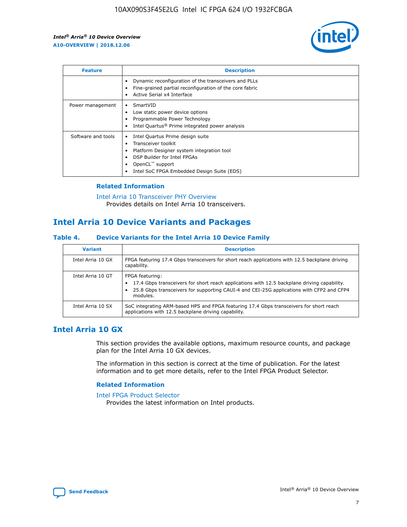

| <b>Feature</b>     | <b>Description</b>                                                                                                                                                                                                    |
|--------------------|-----------------------------------------------------------------------------------------------------------------------------------------------------------------------------------------------------------------------|
|                    | Dynamic reconfiguration of the transceivers and PLLs<br>Fine-grained partial reconfiguration of the core fabric<br>Active Serial x4 Interface                                                                         |
| Power management   | SmartVID<br>Low static power device options<br>Programmable Power Technology<br>Intel Quartus <sup>®</sup> Prime integrated power analysis                                                                            |
| Software and tools | Intel Quartus Prime design suite<br>Transceiver toolkit<br>٠<br>Platform Designer system integration tool<br>DSP Builder for Intel FPGAs<br>OpenCL <sup>™</sup> support<br>Intel SoC FPGA Embedded Design Suite (EDS) |

## **Related Information**

[Intel Arria 10 Transceiver PHY Overview](https://www.intel.com/content/www/us/en/programmable/documentation/nik1398707230472.html#nik1398706768037) Provides details on Intel Arria 10 transceivers.

# **Intel Arria 10 Device Variants and Packages**

#### **Table 4. Device Variants for the Intel Arria 10 Device Family**

| <b>Variant</b>    | <b>Description</b>                                                                                                                                                                                                     |
|-------------------|------------------------------------------------------------------------------------------------------------------------------------------------------------------------------------------------------------------------|
| Intel Arria 10 GX | FPGA featuring 17.4 Gbps transceivers for short reach applications with 12.5 backplane driving<br>capability.                                                                                                          |
| Intel Arria 10 GT | FPGA featuring:<br>17.4 Gbps transceivers for short reach applications with 12.5 backplane driving capability.<br>25.8 Gbps transceivers for supporting CAUI-4 and CEI-25G applications with CFP2 and CFP4<br>modules. |
| Intel Arria 10 SX | SoC integrating ARM-based HPS and FPGA featuring 17.4 Gbps transceivers for short reach<br>applications with 12.5 backplane driving capability.                                                                        |

## **Intel Arria 10 GX**

This section provides the available options, maximum resource counts, and package plan for the Intel Arria 10 GX devices.

The information in this section is correct at the time of publication. For the latest information and to get more details, refer to the Intel FPGA Product Selector.

#### **Related Information**

#### [Intel FPGA Product Selector](http://www.altera.com/products/selector/psg-selector.html) Provides the latest information on Intel products.

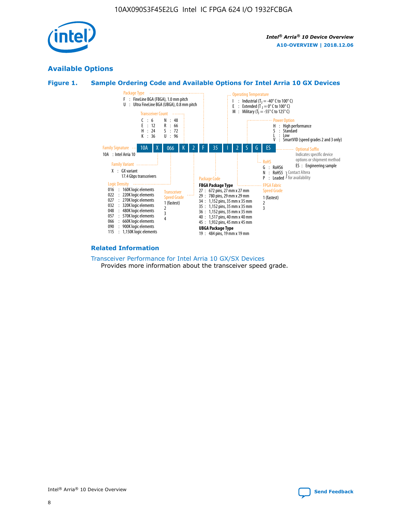

## **Available Options**





#### **Related Information**

[Transceiver Performance for Intel Arria 10 GX/SX Devices](https://www.intel.com/content/www/us/en/programmable/documentation/mcn1413182292568.html#mcn1413213965502) Provides more information about the transceiver speed grade.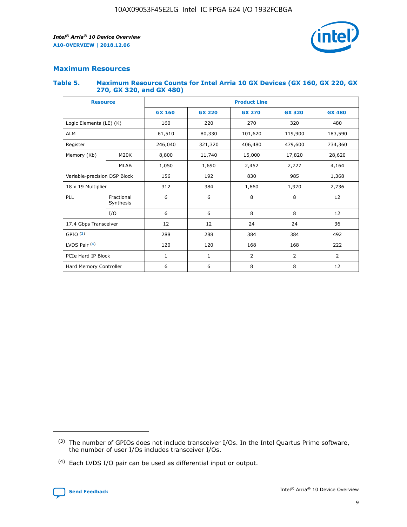

## **Maximum Resources**

#### **Table 5. Maximum Resource Counts for Intel Arria 10 GX Devices (GX 160, GX 220, GX 270, GX 320, and GX 480)**

| <b>Resource</b>         |                                                          | <b>Product Line</b> |                                                 |                |                |                |  |  |  |
|-------------------------|----------------------------------------------------------|---------------------|-------------------------------------------------|----------------|----------------|----------------|--|--|--|
|                         |                                                          | <b>GX 160</b>       | <b>GX 220</b><br><b>GX 270</b><br><b>GX 320</b> |                |                | <b>GX 480</b>  |  |  |  |
| Logic Elements (LE) (K) |                                                          | 160                 | 220                                             | 270            | 320            | 480            |  |  |  |
| <b>ALM</b>              |                                                          | 61,510              | 80,330                                          | 101,620        | 119,900        | 183,590        |  |  |  |
| Register                |                                                          | 246,040             | 321,320                                         | 406,480        | 479,600        | 734,360        |  |  |  |
| Memory (Kb)             | M <sub>20</sub> K                                        | 8,800               | 11,740                                          | 15,000         | 17,820         | 28,620         |  |  |  |
|                         | <b>MLAB</b>                                              | 1,050               | 1,690                                           | 2,452          | 2,727          | 4,164          |  |  |  |
|                         | 985<br>Variable-precision DSP Block<br>156<br>192<br>830 |                     |                                                 |                | 1,368          |                |  |  |  |
| 18 x 19 Multiplier      |                                                          | 312                 | 384                                             | 1,660          | 1,970          | 2,736          |  |  |  |
| PLL                     | Fractional<br>Synthesis                                  | 6                   | 6                                               | 8              | 8              | 12             |  |  |  |
|                         | I/O                                                      | 6                   | 6                                               | 8              | 8              | 12             |  |  |  |
| 17.4 Gbps Transceiver   |                                                          | 12                  | 12                                              | 24             | 24             |                |  |  |  |
| GPIO <sup>(3)</sup>     |                                                          | 288                 | 288                                             | 384<br>384     |                | 492            |  |  |  |
| LVDS Pair $(4)$         |                                                          | 120                 | 120                                             | 168            | 168            | 222            |  |  |  |
| PCIe Hard IP Block      |                                                          | $\mathbf{1}$        | 1                                               | $\overline{2}$ | $\overline{2}$ | $\overline{2}$ |  |  |  |
| Hard Memory Controller  |                                                          | 6                   | 6                                               | 8              | 8              | 12             |  |  |  |

<sup>(4)</sup> Each LVDS I/O pair can be used as differential input or output.



<sup>(3)</sup> The number of GPIOs does not include transceiver I/Os. In the Intel Quartus Prime software, the number of user I/Os includes transceiver I/Os.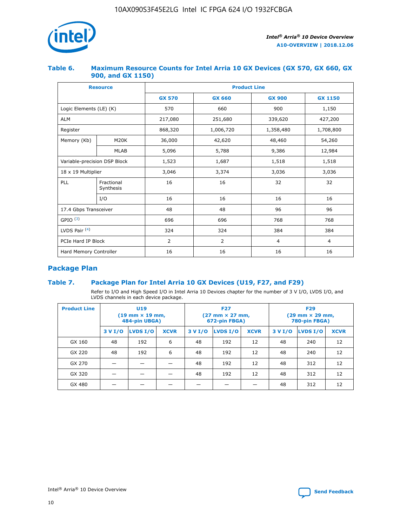

## **Table 6. Maximum Resource Counts for Intel Arria 10 GX Devices (GX 570, GX 660, GX 900, and GX 1150)**

|                              | <b>Resource</b>         | <b>Product Line</b> |                |                |                |  |  |  |
|------------------------------|-------------------------|---------------------|----------------|----------------|----------------|--|--|--|
|                              |                         | <b>GX 570</b>       | <b>GX 660</b>  | <b>GX 900</b>  | <b>GX 1150</b> |  |  |  |
| Logic Elements (LE) (K)      |                         | 570                 | 660            | 900            | 1,150          |  |  |  |
| <b>ALM</b>                   |                         | 217,080             | 251,680        | 339,620        | 427,200        |  |  |  |
| Register                     |                         | 868,320             | 1,006,720      | 1,358,480      | 1,708,800      |  |  |  |
| Memory (Kb)                  | <b>M20K</b>             | 36,000              | 42,620         | 48,460         | 54,260         |  |  |  |
|                              | <b>MLAB</b>             | 5,096               | 5,788          | 9,386          | 12,984         |  |  |  |
| Variable-precision DSP Block |                         | 1,523               | 1,687          | 1,518          | 1,518          |  |  |  |
| $18 \times 19$ Multiplier    |                         | 3,046               | 3,374          | 3,036          | 3,036          |  |  |  |
| PLL                          | Fractional<br>Synthesis | 16                  | 16             | 32             | 32             |  |  |  |
|                              | I/O                     | 16                  | 16             | 16             | 16             |  |  |  |
| 17.4 Gbps Transceiver        |                         | 48                  | 48             | 96             | 96             |  |  |  |
| GPIO <sup>(3)</sup>          |                         | 696                 | 696            | 768            | 768            |  |  |  |
| LVDS Pair $(4)$              |                         | 324                 | 324            | 384            | 384            |  |  |  |
| PCIe Hard IP Block           |                         | 2                   | $\overline{2}$ | $\overline{4}$ | 4              |  |  |  |
| Hard Memory Controller       |                         | 16                  | 16             | 16             | 16             |  |  |  |

## **Package Plan**

## **Table 7. Package Plan for Intel Arria 10 GX Devices (U19, F27, and F29)**

Refer to I/O and High Speed I/O in Intel Arria 10 Devices chapter for the number of 3 V I/O, LVDS I/O, and LVDS channels in each device package.

| <b>Product Line</b> | U <sub>19</sub><br>$(19 \text{ mm} \times 19 \text{ mm})$<br>484-pin UBGA) |          |             |         | <b>F27</b><br>(27 mm × 27 mm,<br>672-pin FBGA) |             | <b>F29</b><br>(29 mm × 29 mm,<br>780-pin FBGA) |          |             |  |
|---------------------|----------------------------------------------------------------------------|----------|-------------|---------|------------------------------------------------|-------------|------------------------------------------------|----------|-------------|--|
|                     | 3 V I/O                                                                    | LVDS I/O | <b>XCVR</b> | 3 V I/O | LVDS I/O                                       | <b>XCVR</b> | 3 V I/O                                        | LVDS I/O | <b>XCVR</b> |  |
| GX 160              | 48                                                                         | 192      | 6           | 48      | 192                                            | 12          | 48                                             | 240      | 12          |  |
| GX 220              | 48                                                                         | 192      | 6           | 48      | 192                                            | 12          | 48                                             | 240      | 12          |  |
| GX 270              |                                                                            |          |             | 48      | 192                                            | 12          | 48                                             | 312      | 12          |  |
| GX 320              |                                                                            |          |             | 48      | 192                                            | 12          | 48                                             | 312      | 12          |  |
| GX 480              |                                                                            |          |             |         |                                                |             | 48                                             | 312      | 12          |  |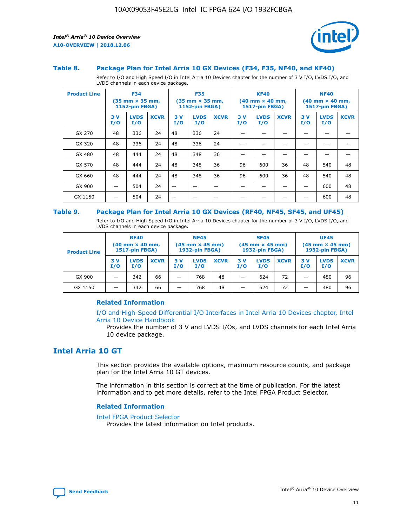

#### **Table 8. Package Plan for Intel Arria 10 GX Devices (F34, F35, NF40, and KF40)**

Refer to I/O and High Speed I/O in Intel Arria 10 Devices chapter for the number of 3 V I/O, LVDS I/O, and LVDS channels in each device package.

| <b>Product Line</b> | <b>F34</b><br>$(35 \text{ mm} \times 35 \text{ mm})$<br>1152-pin FBGA) |                    | <b>F35</b><br>$(35 \text{ mm} \times 35 \text{ mm})$<br><b>1152-pin FBGA)</b> |           | <b>KF40</b><br>$(40$ mm $\times$ 40 mm,<br>1517-pin FBGA) |             |           | <b>NF40</b><br>$(40$ mm $\times$ 40 mm,<br><b>1517-pin FBGA)</b> |             |            |                    |             |
|---------------------|------------------------------------------------------------------------|--------------------|-------------------------------------------------------------------------------|-----------|-----------------------------------------------------------|-------------|-----------|------------------------------------------------------------------|-------------|------------|--------------------|-------------|
|                     | 3V<br>I/O                                                              | <b>LVDS</b><br>I/O | <b>XCVR</b>                                                                   | 3V<br>I/O | <b>LVDS</b><br>I/O                                        | <b>XCVR</b> | 3V<br>I/O | <b>LVDS</b><br>I/O                                               | <b>XCVR</b> | 3 V<br>I/O | <b>LVDS</b><br>I/O | <b>XCVR</b> |
| GX 270              | 48                                                                     | 336                | 24                                                                            | 48        | 336                                                       | 24          |           |                                                                  |             |            |                    |             |
| GX 320              | 48                                                                     | 336                | 24                                                                            | 48        | 336                                                       | 24          |           |                                                                  |             |            |                    |             |
| GX 480              | 48                                                                     | 444                | 24                                                                            | 48        | 348                                                       | 36          |           |                                                                  |             |            |                    |             |
| GX 570              | 48                                                                     | 444                | 24                                                                            | 48        | 348                                                       | 36          | 96        | 600                                                              | 36          | 48         | 540                | 48          |
| GX 660              | 48                                                                     | 444                | 24                                                                            | 48        | 348                                                       | 36          | 96        | 600                                                              | 36          | 48         | 540                | 48          |
| GX 900              |                                                                        | 504                | 24                                                                            | -         |                                                           |             |           |                                                                  |             |            | 600                | 48          |
| GX 1150             |                                                                        | 504                | 24                                                                            |           |                                                           |             |           |                                                                  |             |            | 600                | 48          |

#### **Table 9. Package Plan for Intel Arria 10 GX Devices (RF40, NF45, SF45, and UF45)**

Refer to I/O and High Speed I/O in Intel Arria 10 Devices chapter for the number of 3 V I/O, LVDS I/O, and LVDS channels in each device package.

| <b>Product Line</b> | <b>RF40</b><br>$(40$ mm $\times$ 40 mm,<br>1517-pin FBGA) |                    | <b>NF45</b><br>$(45 \text{ mm} \times 45 \text{ mm})$<br><b>1932-pin FBGA)</b> |            |                    | <b>SF45</b><br>$(45 \text{ mm} \times 45 \text{ mm})$<br><b>1932-pin FBGA)</b> |            |                    | <b>UF45</b><br>$(45 \text{ mm} \times 45 \text{ mm})$<br><b>1932-pin FBGA)</b> |           |                    |             |
|---------------------|-----------------------------------------------------------|--------------------|--------------------------------------------------------------------------------|------------|--------------------|--------------------------------------------------------------------------------|------------|--------------------|--------------------------------------------------------------------------------|-----------|--------------------|-------------|
|                     | 3V<br>I/O                                                 | <b>LVDS</b><br>I/O | <b>XCVR</b>                                                                    | 3 V<br>I/O | <b>LVDS</b><br>I/O | <b>XCVR</b>                                                                    | 3 V<br>I/O | <b>LVDS</b><br>I/O | <b>XCVR</b>                                                                    | 3V<br>I/O | <b>LVDS</b><br>I/O | <b>XCVR</b> |
| GX 900              |                                                           | 342                | 66                                                                             | _          | 768                | 48                                                                             |            | 624                | 72                                                                             |           | 480                | 96          |
| GX 1150             |                                                           | 342                | 66                                                                             | _          | 768                | 48                                                                             |            | 624                | 72                                                                             |           | 480                | 96          |

#### **Related Information**

[I/O and High-Speed Differential I/O Interfaces in Intel Arria 10 Devices chapter, Intel](https://www.intel.com/content/www/us/en/programmable/documentation/sam1403482614086.html#sam1403482030321) [Arria 10 Device Handbook](https://www.intel.com/content/www/us/en/programmable/documentation/sam1403482614086.html#sam1403482030321)

Provides the number of 3 V and LVDS I/Os, and LVDS channels for each Intel Arria 10 device package.

## **Intel Arria 10 GT**

This section provides the available options, maximum resource counts, and package plan for the Intel Arria 10 GT devices.

The information in this section is correct at the time of publication. For the latest information and to get more details, refer to the Intel FPGA Product Selector.

#### **Related Information**

#### [Intel FPGA Product Selector](http://www.altera.com/products/selector/psg-selector.html)

Provides the latest information on Intel products.

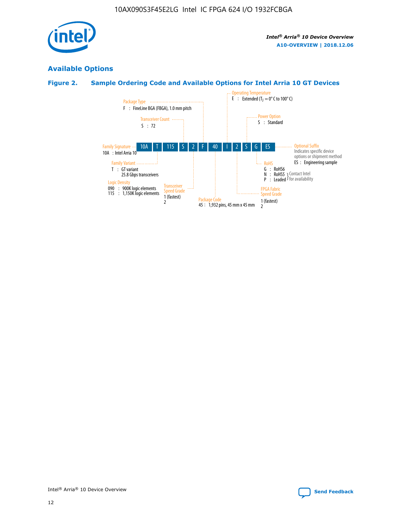

## **Available Options**

## **Figure 2. Sample Ordering Code and Available Options for Intel Arria 10 GT Devices**

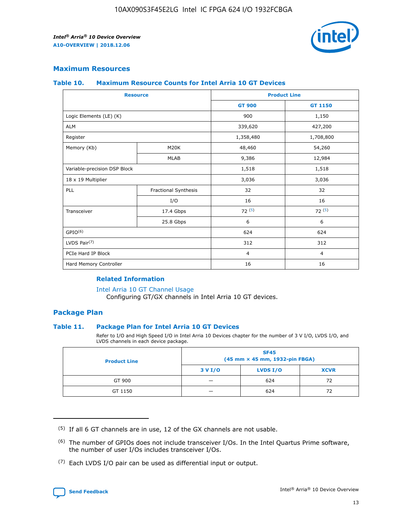

## **Maximum Resources**

#### **Table 10. Maximum Resource Counts for Intel Arria 10 GT Devices**

|                              | <b>Resource</b>      | <b>Product Line</b> |                |  |
|------------------------------|----------------------|---------------------|----------------|--|
|                              |                      | <b>GT 900</b>       | GT 1150        |  |
| Logic Elements (LE) (K)      |                      | 900                 | 1,150          |  |
| <b>ALM</b>                   |                      | 339,620             | 427,200        |  |
| Register                     |                      | 1,358,480           | 1,708,800      |  |
| Memory (Kb)                  | M20K                 | 48,460              | 54,260         |  |
|                              | <b>MLAB</b>          | 9,386               | 12,984         |  |
| Variable-precision DSP Block |                      | 1,518               | 1,518          |  |
| 18 x 19 Multiplier           |                      | 3,036               | 3,036          |  |
| PLL                          | Fractional Synthesis | 32                  | 32             |  |
|                              | I/O                  | 16                  | 16             |  |
| Transceiver                  | 17.4 Gbps            | 72(5)               | 72(5)          |  |
|                              | 25.8 Gbps            | 6                   | 6              |  |
| GPIO <sup>(6)</sup>          |                      | 624                 | 624            |  |
| LVDS Pair $(7)$              |                      | 312                 | 312            |  |
| PCIe Hard IP Block           |                      | $\overline{4}$      | $\overline{4}$ |  |
| Hard Memory Controller       |                      | 16                  | 16             |  |

### **Related Information**

#### [Intel Arria 10 GT Channel Usage](https://www.intel.com/content/www/us/en/programmable/documentation/nik1398707230472.html#nik1398707008178)

Configuring GT/GX channels in Intel Arria 10 GT devices.

## **Package Plan**

#### **Table 11. Package Plan for Intel Arria 10 GT Devices**

Refer to I/O and High Speed I/O in Intel Arria 10 Devices chapter for the number of 3 V I/O, LVDS I/O, and LVDS channels in each device package.

| <b>Product Line</b> | <b>SF45</b><br>(45 mm × 45 mm, 1932-pin FBGA) |                 |             |  |  |  |
|---------------------|-----------------------------------------------|-----------------|-------------|--|--|--|
|                     | 3 V I/O                                       | <b>LVDS I/O</b> | <b>XCVR</b> |  |  |  |
| GT 900              |                                               | 624             | 72          |  |  |  |
| GT 1150             |                                               | 624             | 72          |  |  |  |

<sup>(7)</sup> Each LVDS I/O pair can be used as differential input or output.



 $(5)$  If all 6 GT channels are in use, 12 of the GX channels are not usable.

<sup>(6)</sup> The number of GPIOs does not include transceiver I/Os. In the Intel Quartus Prime software, the number of user I/Os includes transceiver I/Os.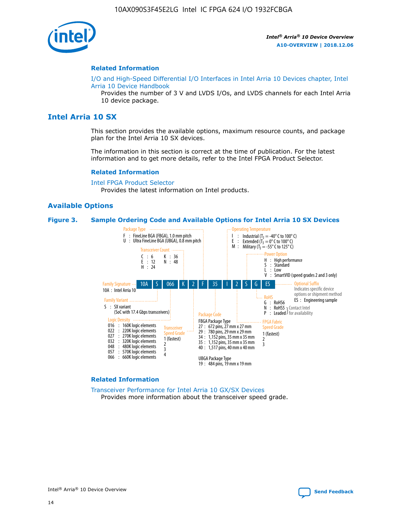

#### **Related Information**

[I/O and High-Speed Differential I/O Interfaces in Intel Arria 10 Devices chapter, Intel](https://www.intel.com/content/www/us/en/programmable/documentation/sam1403482614086.html#sam1403482030321) [Arria 10 Device Handbook](https://www.intel.com/content/www/us/en/programmable/documentation/sam1403482614086.html#sam1403482030321)

Provides the number of 3 V and LVDS I/Os, and LVDS channels for each Intel Arria 10 device package.

## **Intel Arria 10 SX**

This section provides the available options, maximum resource counts, and package plan for the Intel Arria 10 SX devices.

The information in this section is correct at the time of publication. For the latest information and to get more details, refer to the Intel FPGA Product Selector.

#### **Related Information**

[Intel FPGA Product Selector](http://www.altera.com/products/selector/psg-selector.html) Provides the latest information on Intel products.

#### **Available Options**

#### **Figure 3. Sample Ordering Code and Available Options for Intel Arria 10 SX Devices**



#### **Related Information**

[Transceiver Performance for Intel Arria 10 GX/SX Devices](https://www.intel.com/content/www/us/en/programmable/documentation/mcn1413182292568.html#mcn1413213965502) Provides more information about the transceiver speed grade.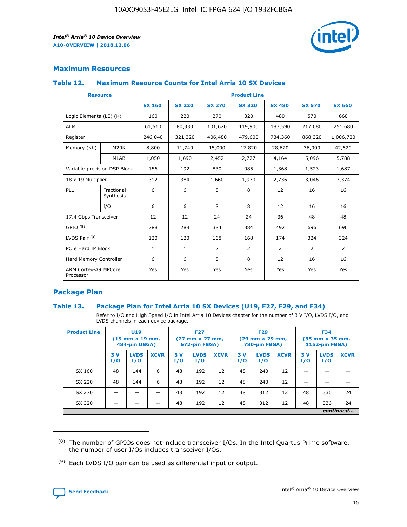

## **Maximum Resources**

#### **Table 12. Maximum Resource Counts for Intel Arria 10 SX Devices**

| <b>Resource</b>                   |                         | <b>Product Line</b> |               |                |                |                |                |                |  |  |  |
|-----------------------------------|-------------------------|---------------------|---------------|----------------|----------------|----------------|----------------|----------------|--|--|--|
|                                   |                         | <b>SX 160</b>       | <b>SX 220</b> | <b>SX 270</b>  | <b>SX 320</b>  | <b>SX 480</b>  | <b>SX 570</b>  | <b>SX 660</b>  |  |  |  |
| Logic Elements (LE) (K)           |                         | 160                 | 220           | 270            | 320            | 480            | 570            | 660            |  |  |  |
| <b>ALM</b>                        |                         | 61,510              | 80,330        | 101,620        | 119,900        | 183,590        | 217,080        | 251,680        |  |  |  |
| Register                          |                         | 246,040             | 321,320       | 406,480        | 479,600        | 734,360        | 868,320        | 1,006,720      |  |  |  |
| Memory (Kb)                       | M <sub>20</sub> K       | 8,800               | 11,740        | 15,000         | 17,820         | 28,620         | 36,000         | 42,620         |  |  |  |
|                                   | <b>MLAB</b>             | 1,050               | 1,690         | 2,452          | 2,727          | 4,164          | 5,096          | 5,788          |  |  |  |
| Variable-precision DSP Block      |                         | 156                 | 192           | 830            | 985            | 1,368          | 1,523          | 1,687          |  |  |  |
| 18 x 19 Multiplier                |                         | 312                 | 384           | 1,660          | 1,970          | 2,736          | 3,046          | 3,374          |  |  |  |
| PLL                               | Fractional<br>Synthesis | 6                   | 6             | 8              | 8              | 12             | 16             | 16             |  |  |  |
|                                   | I/O                     | 6                   | 6             | 8              | 8              | 12             | 16             | 16             |  |  |  |
| 17.4 Gbps Transceiver             |                         | 12                  | 12            | 24             | 24             | 36             | 48             | 48             |  |  |  |
| GPIO <sup>(8)</sup>               |                         | 288                 | 288           | 384            | 384            | 492            | 696            | 696            |  |  |  |
| LVDS Pair $(9)$                   |                         | 120                 | 120           | 168            | 168            | 174            | 324            | 324            |  |  |  |
| PCIe Hard IP Block                |                         | $\mathbf{1}$        | $\mathbf{1}$  | $\overline{2}$ | $\overline{2}$ | $\overline{2}$ | $\overline{2}$ | $\overline{2}$ |  |  |  |
| Hard Memory Controller            |                         | 6                   | 6             | 8              | 8              | 12             | 16             | 16             |  |  |  |
| ARM Cortex-A9 MPCore<br>Processor |                         | Yes                 | Yes           | Yes            | Yes            | Yes            | Yes            | <b>Yes</b>     |  |  |  |

## **Package Plan**

#### **Table 13. Package Plan for Intel Arria 10 SX Devices (U19, F27, F29, and F34)**

Refer to I/O and High Speed I/O in Intel Arria 10 Devices chapter for the number of 3 V I/O, LVDS I/O, and LVDS channels in each device package.

| <b>Product Line</b> | <b>U19</b><br>$(19 \text{ mm} \times 19 \text{ mm})$<br>484-pin UBGA) |                    |             | <b>F27</b><br>$(27 \text{ mm} \times 27 \text{ mm})$<br>672-pin FBGA) |                    | <b>F29</b><br>$(29$ mm $\times$ 29 mm,<br>780-pin FBGA) |            |                    | <b>F34</b><br>$(35 \text{ mm} \times 35 \text{ mm})$<br>1152-pin FBGA) |           |                    |             |
|---------------------|-----------------------------------------------------------------------|--------------------|-------------|-----------------------------------------------------------------------|--------------------|---------------------------------------------------------|------------|--------------------|------------------------------------------------------------------------|-----------|--------------------|-------------|
|                     | 3V<br>I/O                                                             | <b>LVDS</b><br>I/O | <b>XCVR</b> | 3V<br>I/O                                                             | <b>LVDS</b><br>I/O | <b>XCVR</b>                                             | 3 V<br>I/O | <b>LVDS</b><br>I/O | <b>XCVR</b>                                                            | 3V<br>I/O | <b>LVDS</b><br>I/O | <b>XCVR</b> |
| SX 160              | 48                                                                    | 144                | 6           | 48                                                                    | 192                | 12                                                      | 48         | 240                | 12                                                                     | –         |                    |             |
| SX 220              | 48                                                                    | 144                | 6           | 48                                                                    | 192                | 12                                                      | 48         | 240                | 12                                                                     |           |                    |             |
| SX 270              |                                                                       |                    |             | 48                                                                    | 192                | 12                                                      | 48         | 312                | 12                                                                     | 48        | 336                | 24          |
| SX 320              |                                                                       |                    |             | 48                                                                    | 192                | 12                                                      | 48         | 312                | 12                                                                     | 48        | 336                | 24          |
|                     | continued                                                             |                    |             |                                                                       |                    |                                                         |            |                    |                                                                        |           |                    |             |

 $(8)$  The number of GPIOs does not include transceiver I/Os. In the Intel Quartus Prime software, the number of user I/Os includes transceiver I/Os.

 $(9)$  Each LVDS I/O pair can be used as differential input or output.

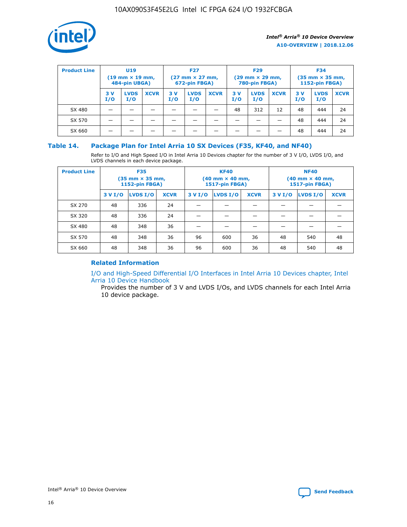

| <b>Product Line</b> | U <sub>19</sub><br>$(19 \text{ mm} \times 19 \text{ mm})$<br>484-pin UBGA) |                    | <b>F27</b><br>$(27 \text{ mm} \times 27 \text{ mm})$<br>672-pin FBGA) |            | <b>F29</b><br>$(29 \text{ mm} \times 29 \text{ mm})$<br>780-pin FBGA) |             |           | <b>F34</b><br>$(35 \text{ mm} \times 35 \text{ mm})$<br><b>1152-pin FBGA)</b> |             |           |                    |             |
|---------------------|----------------------------------------------------------------------------|--------------------|-----------------------------------------------------------------------|------------|-----------------------------------------------------------------------|-------------|-----------|-------------------------------------------------------------------------------|-------------|-----------|--------------------|-------------|
|                     | 3 V<br>I/O                                                                 | <b>LVDS</b><br>I/O | <b>XCVR</b>                                                           | 3 V<br>I/O | <b>LVDS</b><br>I/O                                                    | <b>XCVR</b> | 3V<br>I/O | <b>LVDS</b><br>I/O                                                            | <b>XCVR</b> | 3V<br>I/O | <b>LVDS</b><br>I/O | <b>XCVR</b> |
| SX 480              |                                                                            |                    |                                                                       |            |                                                                       |             | 48        | 312                                                                           | 12          | 48        | 444                | 24          |
| SX 570              |                                                                            |                    |                                                                       |            |                                                                       |             |           |                                                                               |             | 48        | 444                | 24          |
| SX 660              |                                                                            |                    |                                                                       |            |                                                                       |             |           |                                                                               |             | 48        | 444                | 24          |

## **Table 14. Package Plan for Intel Arria 10 SX Devices (F35, KF40, and NF40)**

Refer to I/O and High Speed I/O in Intel Arria 10 Devices chapter for the number of 3 V I/O, LVDS I/O, and LVDS channels in each device package.

| <b>Product Line</b> | <b>F35</b><br>$(35 \text{ mm} \times 35 \text{ mm})$<br><b>1152-pin FBGA)</b> |          |             |                                           | <b>KF40</b><br>(40 mm × 40 mm,<br>1517-pin FBGA) |    | <b>NF40</b><br>$(40 \text{ mm} \times 40 \text{ mm})$<br>1517-pin FBGA) |          |             |  |
|---------------------|-------------------------------------------------------------------------------|----------|-------------|-------------------------------------------|--------------------------------------------------|----|-------------------------------------------------------------------------|----------|-------------|--|
|                     | 3 V I/O                                                                       | LVDS I/O | <b>XCVR</b> | <b>LVDS I/O</b><br><b>XCVR</b><br>3 V I/O |                                                  |    | 3 V I/O                                                                 | LVDS I/O | <b>XCVR</b> |  |
| SX 270              | 48                                                                            | 336      | 24          |                                           |                                                  |    |                                                                         |          |             |  |
| SX 320              | 48                                                                            | 336      | 24          |                                           |                                                  |    |                                                                         |          |             |  |
| SX 480              | 48                                                                            | 348      | 36          |                                           |                                                  |    |                                                                         |          |             |  |
| SX 570              | 48                                                                            | 348      | 36          | 96                                        | 600                                              | 36 | 48                                                                      | 540      | 48          |  |
| SX 660              | 48                                                                            | 348      | 36          | 96                                        | 600                                              | 36 | 48                                                                      | 540      | 48          |  |

## **Related Information**

[I/O and High-Speed Differential I/O Interfaces in Intel Arria 10 Devices chapter, Intel](https://www.intel.com/content/www/us/en/programmable/documentation/sam1403482614086.html#sam1403482030321) [Arria 10 Device Handbook](https://www.intel.com/content/www/us/en/programmable/documentation/sam1403482614086.html#sam1403482030321)

Provides the number of 3 V and LVDS I/Os, and LVDS channels for each Intel Arria 10 device package.

Intel<sup>®</sup> Arria<sup>®</sup> 10 Device Overview **[Send Feedback](mailto:FPGAtechdocfeedback@intel.com?subject=Feedback%20on%20Intel%20Arria%2010%20Device%20Overview%20(A10-OVERVIEW%202018.12.06)&body=We%20appreciate%20your%20feedback.%20In%20your%20comments,%20also%20specify%20the%20page%20number%20or%20paragraph.%20Thank%20you.)** Send Feedback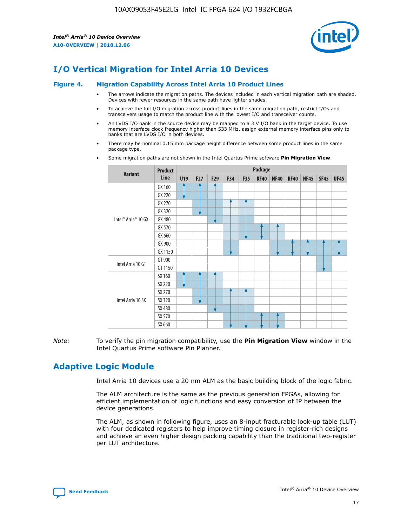

# **I/O Vertical Migration for Intel Arria 10 Devices**

#### **Figure 4. Migration Capability Across Intel Arria 10 Product Lines**

- The arrows indicate the migration paths. The devices included in each vertical migration path are shaded. Devices with fewer resources in the same path have lighter shades.
- To achieve the full I/O migration across product lines in the same migration path, restrict I/Os and transceivers usage to match the product line with the lowest I/O and transceiver counts.
- An LVDS I/O bank in the source device may be mapped to a 3 V I/O bank in the target device. To use memory interface clock frequency higher than 533 MHz, assign external memory interface pins only to banks that are LVDS I/O in both devices.
- There may be nominal 0.15 mm package height difference between some product lines in the same package type.
	- **Variant Product Line Package U19 F27 F29 F34 F35 KF40 NF40 RF40 NF45 SF45 UF45** Intel® Arria® 10 GX GX 160 GX 220 GX 270 GX 320 GX 480 GX 570 GX 660 GX 900 GX 1150 Intel Arria 10 GT GT 900 GT 1150 Intel Arria 10 SX SX 160 SX 220 SX 270 SX 320 SX 480 SX 570 SX 660
- Some migration paths are not shown in the Intel Quartus Prime software **Pin Migration View**.

*Note:* To verify the pin migration compatibility, use the **Pin Migration View** window in the Intel Quartus Prime software Pin Planner.

# **Adaptive Logic Module**

Intel Arria 10 devices use a 20 nm ALM as the basic building block of the logic fabric.

The ALM architecture is the same as the previous generation FPGAs, allowing for efficient implementation of logic functions and easy conversion of IP between the device generations.

The ALM, as shown in following figure, uses an 8-input fracturable look-up table (LUT) with four dedicated registers to help improve timing closure in register-rich designs and achieve an even higher design packing capability than the traditional two-register per LUT architecture.

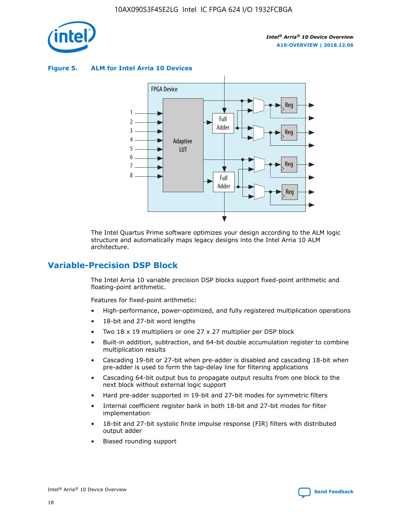

**Figure 5. ALM for Intel Arria 10 Devices**



The Intel Quartus Prime software optimizes your design according to the ALM logic structure and automatically maps legacy designs into the Intel Arria 10 ALM architecture.

# **Variable-Precision DSP Block**

The Intel Arria 10 variable precision DSP blocks support fixed-point arithmetic and floating-point arithmetic.

Features for fixed-point arithmetic:

- High-performance, power-optimized, and fully registered multiplication operations
- 18-bit and 27-bit word lengths
- Two 18 x 19 multipliers or one 27 x 27 multiplier per DSP block
- Built-in addition, subtraction, and 64-bit double accumulation register to combine multiplication results
- Cascading 19-bit or 27-bit when pre-adder is disabled and cascading 18-bit when pre-adder is used to form the tap-delay line for filtering applications
- Cascading 64-bit output bus to propagate output results from one block to the next block without external logic support
- Hard pre-adder supported in 19-bit and 27-bit modes for symmetric filters
- Internal coefficient register bank in both 18-bit and 27-bit modes for filter implementation
- 18-bit and 27-bit systolic finite impulse response (FIR) filters with distributed output adder
- Biased rounding support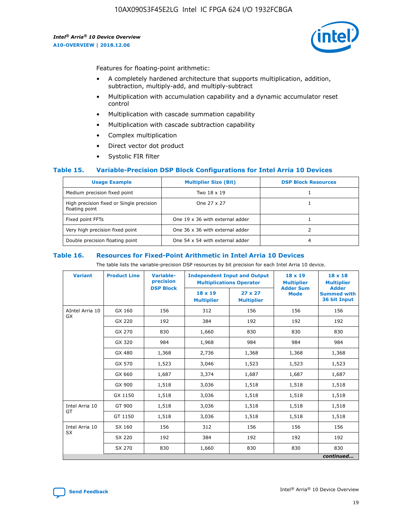

Features for floating-point arithmetic:

- A completely hardened architecture that supports multiplication, addition, subtraction, multiply-add, and multiply-subtract
- Multiplication with accumulation capability and a dynamic accumulator reset control
- Multiplication with cascade summation capability
- Multiplication with cascade subtraction capability
- Complex multiplication
- Direct vector dot product
- Systolic FIR filter

#### **Table 15. Variable-Precision DSP Block Configurations for Intel Arria 10 Devices**

| <b>Usage Example</b>                                       | <b>Multiplier Size (Bit)</b>    | <b>DSP Block Resources</b> |
|------------------------------------------------------------|---------------------------------|----------------------------|
| Medium precision fixed point                               | Two 18 x 19                     |                            |
| High precision fixed or Single precision<br>floating point | One 27 x 27                     |                            |
| Fixed point FFTs                                           | One 19 x 36 with external adder |                            |
| Very high precision fixed point                            | One 36 x 36 with external adder |                            |
| Double precision floating point                            | One 54 x 54 with external adder | 4                          |

#### **Table 16. Resources for Fixed-Point Arithmetic in Intel Arria 10 Devices**

The table lists the variable-precision DSP resources by bit precision for each Intel Arria 10 device.

| <b>Variant</b>  | <b>Product Line</b> | <b>Variable-</b><br>precision<br><b>DSP Block</b> | <b>Independent Input and Output</b><br><b>Multiplications Operator</b> |                                     | 18 x 19<br><b>Multiplier</b><br><b>Adder Sum</b> | $18 \times 18$<br><b>Multiplier</b><br><b>Adder</b> |
|-----------------|---------------------|---------------------------------------------------|------------------------------------------------------------------------|-------------------------------------|--------------------------------------------------|-----------------------------------------------------|
|                 |                     |                                                   | 18 x 19<br><b>Multiplier</b>                                           | $27 \times 27$<br><b>Multiplier</b> | <b>Mode</b>                                      | <b>Summed with</b><br>36 bit Input                  |
| AIntel Arria 10 | GX 160              | 156                                               | 312                                                                    | 156                                 | 156                                              | 156                                                 |
| GX              | GX 220              | 192                                               | 384                                                                    | 192                                 | 192                                              | 192                                                 |
|                 | GX 270              | 830                                               | 1,660                                                                  | 830                                 | 830                                              | 830                                                 |
|                 | GX 320              | 984                                               | 1,968                                                                  | 984                                 | 984                                              | 984                                                 |
|                 | GX 480              | 1,368                                             | 2,736                                                                  | 1,368                               | 1,368                                            | 1,368                                               |
|                 | GX 570              | 1,523                                             | 3,046                                                                  | 1,523                               | 1,523                                            | 1,523                                               |
|                 | GX 660              | 1,687                                             | 3,374                                                                  | 1,687                               | 1,687                                            | 1,687                                               |
|                 | GX 900              | 1,518                                             | 3,036                                                                  | 1,518                               | 1,518                                            | 1,518                                               |
|                 | GX 1150             | 1,518                                             | 3,036                                                                  | 1,518                               | 1,518                                            | 1,518                                               |
| Intel Arria 10  | GT 900              | 1,518                                             | 3,036                                                                  | 1,518                               | 1,518                                            | 1,518                                               |
| GT              | GT 1150             | 1,518                                             | 3,036                                                                  | 1,518                               | 1,518                                            | 1,518                                               |
| Intel Arria 10  | SX 160              | 156                                               | 312                                                                    | 156                                 | 156                                              | 156                                                 |
| <b>SX</b>       | SX 220              | 192                                               | 384                                                                    | 192                                 | 192                                              | 192                                                 |
|                 | SX 270              | 830                                               | 1,660                                                                  | 830                                 | 830                                              | 830                                                 |
|                 |                     |                                                   |                                                                        |                                     |                                                  | continued                                           |

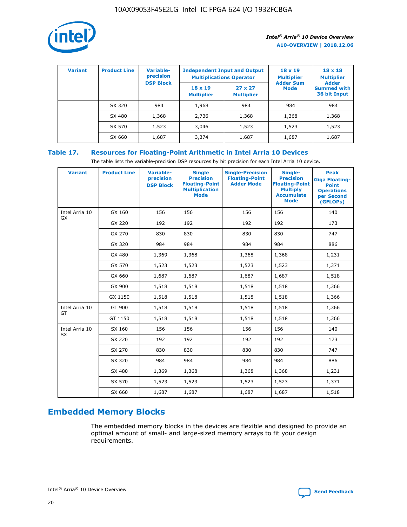

| <b>Variant</b> | <b>Product Line</b> | <b>Variable-</b><br>precision<br><b>DSP Block</b> | <b>Independent Input and Output</b><br><b>Multiplications Operator</b> |                                     | $18 \times 19$<br><b>Multiplier</b><br><b>Adder Sum</b> | $18 \times 18$<br><b>Multiplier</b><br><b>Adder</b> |  |
|----------------|---------------------|---------------------------------------------------|------------------------------------------------------------------------|-------------------------------------|---------------------------------------------------------|-----------------------------------------------------|--|
|                |                     |                                                   | $18 \times 19$<br><b>Multiplier</b>                                    | $27 \times 27$<br><b>Multiplier</b> | <b>Mode</b>                                             | <b>Summed with</b><br>36 bit Input                  |  |
|                | SX 320              | 984                                               | 1,968                                                                  | 984                                 | 984                                                     | 984                                                 |  |
|                | SX 480              | 1,368                                             | 2,736                                                                  | 1,368                               | 1,368                                                   | 1,368                                               |  |
|                | SX 570              | 1,523                                             | 3,046                                                                  | 1,523                               | 1,523                                                   | 1,523                                               |  |
|                | SX 660              | 1,687                                             | 3,374                                                                  | 1,687                               | 1,687                                                   | 1,687                                               |  |

## **Table 17. Resources for Floating-Point Arithmetic in Intel Arria 10 Devices**

The table lists the variable-precision DSP resources by bit precision for each Intel Arria 10 device.

| <b>Variant</b>              | <b>Product Line</b> | <b>Variable-</b><br>precision<br><b>DSP Block</b> | <b>Single</b><br><b>Precision</b><br><b>Floating-Point</b><br><b>Multiplication</b><br><b>Mode</b> | <b>Single-Precision</b><br><b>Floating-Point</b><br><b>Adder Mode</b> | Single-<br><b>Precision</b><br><b>Floating-Point</b><br><b>Multiply</b><br><b>Accumulate</b><br><b>Mode</b> | <b>Peak</b><br><b>Giga Floating-</b><br><b>Point</b><br><b>Operations</b><br>per Second<br>(GFLOPs) |
|-----------------------------|---------------------|---------------------------------------------------|----------------------------------------------------------------------------------------------------|-----------------------------------------------------------------------|-------------------------------------------------------------------------------------------------------------|-----------------------------------------------------------------------------------------------------|
| Intel Arria 10<br>GX        | GX 160              | 156                                               | 156                                                                                                | 156                                                                   | 156                                                                                                         | 140                                                                                                 |
|                             | GX 220              | 192                                               | 192                                                                                                | 192                                                                   | 192                                                                                                         | 173                                                                                                 |
|                             | GX 270              | 830                                               | 830                                                                                                | 830                                                                   | 830                                                                                                         | 747                                                                                                 |
|                             | GX 320              | 984                                               | 984                                                                                                | 984                                                                   | 984                                                                                                         | 886                                                                                                 |
|                             | GX 480              | 1,369                                             | 1,368                                                                                              | 1,368                                                                 | 1,368                                                                                                       | 1,231                                                                                               |
|                             | GX 570              | 1,523                                             | 1,523                                                                                              | 1,523                                                                 | 1,523                                                                                                       | 1,371                                                                                               |
|                             | GX 660              | 1,687                                             | 1,687                                                                                              | 1,687                                                                 | 1,687                                                                                                       | 1,518                                                                                               |
|                             | GX 900              | 1,518                                             | 1,518                                                                                              | 1,518                                                                 | 1,518                                                                                                       | 1,366                                                                                               |
|                             | GX 1150             | 1,518                                             | 1,518                                                                                              | 1,518                                                                 | 1,518                                                                                                       | 1,366                                                                                               |
| Intel Arria 10              | GT 900              | 1,518                                             | 1,518                                                                                              | 1,518                                                                 | 1,518                                                                                                       | 1,366                                                                                               |
| GT                          | GT 1150             | 1,518                                             | 1,518                                                                                              | 1,518                                                                 | 1,518                                                                                                       | 1,366                                                                                               |
| Intel Arria 10<br><b>SX</b> | SX 160              | 156                                               | 156                                                                                                | 156                                                                   | 156                                                                                                         | 140                                                                                                 |
|                             | SX 220              | 192                                               | 192                                                                                                | 192                                                                   | 192                                                                                                         | 173                                                                                                 |
|                             | SX 270              | 830                                               | 830                                                                                                | 830                                                                   | 830                                                                                                         | 747                                                                                                 |
|                             | SX 320              | 984                                               | 984                                                                                                | 984                                                                   | 984                                                                                                         | 886                                                                                                 |
|                             | SX 480              | 1,369                                             | 1,368                                                                                              | 1,368                                                                 | 1,368                                                                                                       | 1,231                                                                                               |
|                             | SX 570              | 1,523                                             | 1,523                                                                                              | 1,523                                                                 | 1,523                                                                                                       | 1,371                                                                                               |
|                             | SX 660              | 1,687                                             | 1,687                                                                                              | 1,687                                                                 | 1,687                                                                                                       | 1,518                                                                                               |

# **Embedded Memory Blocks**

The embedded memory blocks in the devices are flexible and designed to provide an optimal amount of small- and large-sized memory arrays to fit your design requirements.

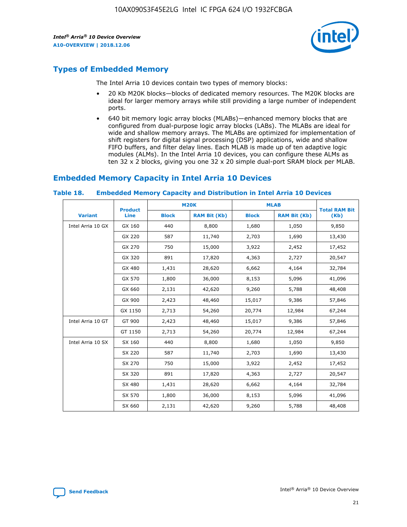

# **Types of Embedded Memory**

The Intel Arria 10 devices contain two types of memory blocks:

- 20 Kb M20K blocks—blocks of dedicated memory resources. The M20K blocks are ideal for larger memory arrays while still providing a large number of independent ports.
- 640 bit memory logic array blocks (MLABs)—enhanced memory blocks that are configured from dual-purpose logic array blocks (LABs). The MLABs are ideal for wide and shallow memory arrays. The MLABs are optimized for implementation of shift registers for digital signal processing (DSP) applications, wide and shallow FIFO buffers, and filter delay lines. Each MLAB is made up of ten adaptive logic modules (ALMs). In the Intel Arria 10 devices, you can configure these ALMs as ten 32 x 2 blocks, giving you one 32 x 20 simple dual-port SRAM block per MLAB.

## **Embedded Memory Capacity in Intel Arria 10 Devices**

|                   | <b>Product</b> |              | <b>M20K</b>         | <b>MLAB</b>  |                     | <b>Total RAM Bit</b> |
|-------------------|----------------|--------------|---------------------|--------------|---------------------|----------------------|
| <b>Variant</b>    | Line           | <b>Block</b> | <b>RAM Bit (Kb)</b> | <b>Block</b> | <b>RAM Bit (Kb)</b> | (Kb)                 |
| Intel Arria 10 GX | GX 160         | 440          | 8,800               | 1,680        | 1,050               | 9,850                |
|                   | GX 220         | 587          | 11,740              | 2,703        | 1,690               | 13,430               |
|                   | GX 270         | 750          | 15,000              | 3,922        | 2,452               | 17,452               |
|                   | GX 320         | 891          | 17,820              | 4,363        | 2,727               | 20,547               |
|                   | GX 480         | 1,431        | 28,620              | 6,662        | 4,164               | 32,784               |
|                   | GX 570         | 1,800        | 36,000              | 8,153        | 5,096               | 41,096               |
|                   | GX 660         | 2,131        | 42,620              | 9,260        | 5,788               | 48,408               |
|                   | GX 900         | 2,423        | 48,460              | 15,017       | 9,386               | 57,846               |
|                   | GX 1150        | 2,713        | 54,260              | 20,774       | 12,984              | 67,244               |
| Intel Arria 10 GT | GT 900         | 2,423        | 48,460              | 15,017       | 9,386               | 57,846               |
|                   | GT 1150        | 2,713        | 54,260              | 20,774       | 12,984              | 67,244               |
| Intel Arria 10 SX | SX 160         | 440          | 8,800               | 1,680        | 1,050               | 9,850                |
|                   | SX 220         | 587          | 11,740              | 2,703        | 1,690               | 13,430               |
|                   | SX 270         | 750          | 15,000              | 3,922        | 2,452               | 17,452               |
|                   | SX 320         | 891          | 17,820              | 4,363        | 2,727               | 20,547               |
|                   | SX 480         | 1,431        | 28,620              | 6,662        | 4,164               | 32,784               |
|                   | SX 570         | 1,800        | 36,000              | 8,153        | 5,096               | 41,096               |
|                   | SX 660         | 2,131        | 42,620              | 9,260        | 5,788               | 48,408               |

#### **Table 18. Embedded Memory Capacity and Distribution in Intel Arria 10 Devices**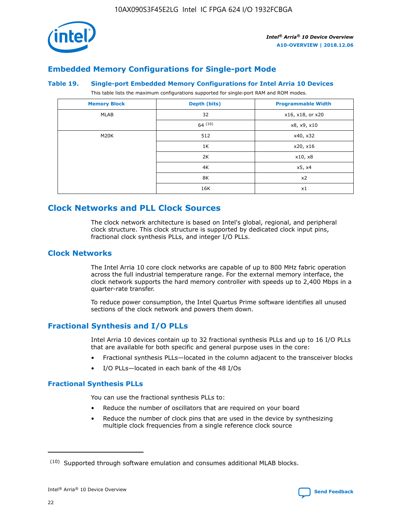

# **Embedded Memory Configurations for Single-port Mode**

#### **Table 19. Single-port Embedded Memory Configurations for Intel Arria 10 Devices**

This table lists the maximum configurations supported for single-port RAM and ROM modes.

| <b>Memory Block</b> | Depth (bits) | <b>Programmable Width</b> |
|---------------------|--------------|---------------------------|
| MLAB                | 32           | x16, x18, or x20          |
|                     | 64(10)       | x8, x9, x10               |
| M20K                | 512          | x40, x32                  |
|                     | 1K           | x20, x16                  |
|                     | 2K           | x10, x8                   |
|                     | 4K           | x5, x4                    |
|                     | 8K           | x2                        |
|                     | 16K          | x1                        |

# **Clock Networks and PLL Clock Sources**

The clock network architecture is based on Intel's global, regional, and peripheral clock structure. This clock structure is supported by dedicated clock input pins, fractional clock synthesis PLLs, and integer I/O PLLs.

## **Clock Networks**

The Intel Arria 10 core clock networks are capable of up to 800 MHz fabric operation across the full industrial temperature range. For the external memory interface, the clock network supports the hard memory controller with speeds up to 2,400 Mbps in a quarter-rate transfer.

To reduce power consumption, the Intel Quartus Prime software identifies all unused sections of the clock network and powers them down.

## **Fractional Synthesis and I/O PLLs**

Intel Arria 10 devices contain up to 32 fractional synthesis PLLs and up to 16 I/O PLLs that are available for both specific and general purpose uses in the core:

- Fractional synthesis PLLs—located in the column adjacent to the transceiver blocks
- I/O PLLs—located in each bank of the 48 I/Os

## **Fractional Synthesis PLLs**

You can use the fractional synthesis PLLs to:

- Reduce the number of oscillators that are required on your board
- Reduce the number of clock pins that are used in the device by synthesizing multiple clock frequencies from a single reference clock source

<sup>(10)</sup> Supported through software emulation and consumes additional MLAB blocks.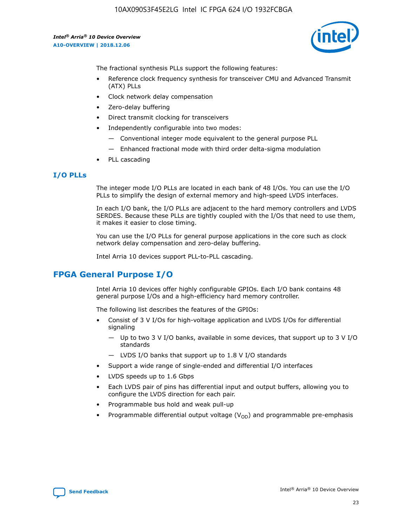

The fractional synthesis PLLs support the following features:

- Reference clock frequency synthesis for transceiver CMU and Advanced Transmit (ATX) PLLs
- Clock network delay compensation
- Zero-delay buffering
- Direct transmit clocking for transceivers
- Independently configurable into two modes:
	- Conventional integer mode equivalent to the general purpose PLL
	- Enhanced fractional mode with third order delta-sigma modulation
- PLL cascading

#### **I/O PLLs**

The integer mode I/O PLLs are located in each bank of 48 I/Os. You can use the I/O PLLs to simplify the design of external memory and high-speed LVDS interfaces.

In each I/O bank, the I/O PLLs are adjacent to the hard memory controllers and LVDS SERDES. Because these PLLs are tightly coupled with the I/Os that need to use them, it makes it easier to close timing.

You can use the I/O PLLs for general purpose applications in the core such as clock network delay compensation and zero-delay buffering.

Intel Arria 10 devices support PLL-to-PLL cascading.

## **FPGA General Purpose I/O**

Intel Arria 10 devices offer highly configurable GPIOs. Each I/O bank contains 48 general purpose I/Os and a high-efficiency hard memory controller.

The following list describes the features of the GPIOs:

- Consist of 3 V I/Os for high-voltage application and LVDS I/Os for differential signaling
	- Up to two 3 V I/O banks, available in some devices, that support up to 3 V I/O standards
	- LVDS I/O banks that support up to 1.8 V I/O standards
- Support a wide range of single-ended and differential I/O interfaces
- LVDS speeds up to 1.6 Gbps
- Each LVDS pair of pins has differential input and output buffers, allowing you to configure the LVDS direction for each pair.
- Programmable bus hold and weak pull-up
- Programmable differential output voltage  $(V_{OD})$  and programmable pre-emphasis

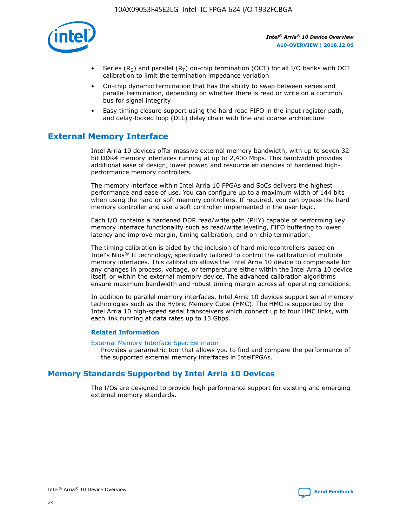

- Series (R<sub>S</sub>) and parallel (R<sub>T</sub>) on-chip termination (OCT) for all I/O banks with OCT calibration to limit the termination impedance variation
- On-chip dynamic termination that has the ability to swap between series and parallel termination, depending on whether there is read or write on a common bus for signal integrity
- Easy timing closure support using the hard read FIFO in the input register path, and delay-locked loop (DLL) delay chain with fine and coarse architecture

# **External Memory Interface**

Intel Arria 10 devices offer massive external memory bandwidth, with up to seven 32 bit DDR4 memory interfaces running at up to 2,400 Mbps. This bandwidth provides additional ease of design, lower power, and resource efficiencies of hardened highperformance memory controllers.

The memory interface within Intel Arria 10 FPGAs and SoCs delivers the highest performance and ease of use. You can configure up to a maximum width of 144 bits when using the hard or soft memory controllers. If required, you can bypass the hard memory controller and use a soft controller implemented in the user logic.

Each I/O contains a hardened DDR read/write path (PHY) capable of performing key memory interface functionality such as read/write leveling, FIFO buffering to lower latency and improve margin, timing calibration, and on-chip termination.

The timing calibration is aided by the inclusion of hard microcontrollers based on Intel's Nios® II technology, specifically tailored to control the calibration of multiple memory interfaces. This calibration allows the Intel Arria 10 device to compensate for any changes in process, voltage, or temperature either within the Intel Arria 10 device itself, or within the external memory device. The advanced calibration algorithms ensure maximum bandwidth and robust timing margin across all operating conditions.

In addition to parallel memory interfaces, Intel Arria 10 devices support serial memory technologies such as the Hybrid Memory Cube (HMC). The HMC is supported by the Intel Arria 10 high-speed serial transceivers which connect up to four HMC links, with each link running at data rates up to 15 Gbps.

#### **Related Information**

#### [External Memory Interface Spec Estimator](http://www.altera.com/technology/memory/estimator/mem-emif-index.html)

Provides a parametric tool that allows you to find and compare the performance of the supported external memory interfaces in IntelFPGAs.

## **Memory Standards Supported by Intel Arria 10 Devices**

The I/Os are designed to provide high performance support for existing and emerging external memory standards.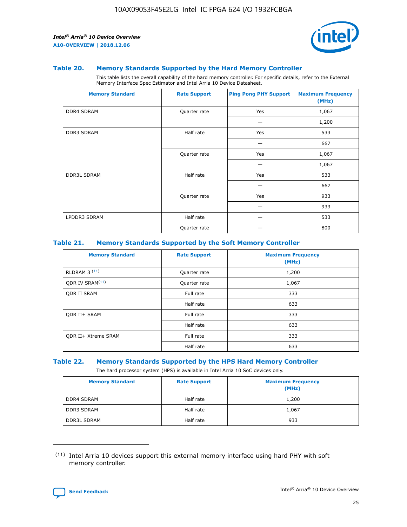

#### **Table 20. Memory Standards Supported by the Hard Memory Controller**

This table lists the overall capability of the hard memory controller. For specific details, refer to the External Memory Interface Spec Estimator and Intel Arria 10 Device Datasheet.

| <b>Memory Standard</b> | <b>Rate Support</b> | <b>Ping Pong PHY Support</b> | <b>Maximum Frequency</b><br>(MHz) |
|------------------------|---------------------|------------------------------|-----------------------------------|
| <b>DDR4 SDRAM</b>      | Quarter rate        | Yes                          | 1,067                             |
|                        |                     |                              | 1,200                             |
| <b>DDR3 SDRAM</b>      | Half rate           | Yes                          | 533                               |
|                        |                     |                              | 667                               |
|                        | Quarter rate        | Yes                          | 1,067                             |
|                        |                     |                              | 1,067                             |
| <b>DDR3L SDRAM</b>     | Half rate           | Yes                          | 533                               |
|                        |                     |                              | 667                               |
|                        | Quarter rate        | Yes                          | 933                               |
|                        |                     |                              | 933                               |
| LPDDR3 SDRAM           | Half rate           |                              | 533                               |
|                        | Quarter rate        |                              | 800                               |

#### **Table 21. Memory Standards Supported by the Soft Memory Controller**

| <b>Memory Standard</b>      | <b>Rate Support</b> | <b>Maximum Frequency</b><br>(MHz) |
|-----------------------------|---------------------|-----------------------------------|
| <b>RLDRAM 3 (11)</b>        | Quarter rate        | 1,200                             |
| ODR IV SRAM <sup>(11)</sup> | Quarter rate        | 1,067                             |
| <b>ODR II SRAM</b>          | Full rate           | 333                               |
|                             | Half rate           | 633                               |
| <b>ODR II+ SRAM</b>         | Full rate           | 333                               |
|                             | Half rate           | 633                               |
| <b>ODR II+ Xtreme SRAM</b>  | Full rate           | 333                               |
|                             | Half rate           | 633                               |

#### **Table 22. Memory Standards Supported by the HPS Hard Memory Controller**

The hard processor system (HPS) is available in Intel Arria 10 SoC devices only.

| <b>Memory Standard</b> | <b>Rate Support</b> | <b>Maximum Frequency</b><br>(MHz) |
|------------------------|---------------------|-----------------------------------|
| <b>DDR4 SDRAM</b>      | Half rate           | 1,200                             |
| <b>DDR3 SDRAM</b>      | Half rate           | 1,067                             |
| <b>DDR3L SDRAM</b>     | Half rate           | 933                               |

<sup>(11)</sup> Intel Arria 10 devices support this external memory interface using hard PHY with soft memory controller.

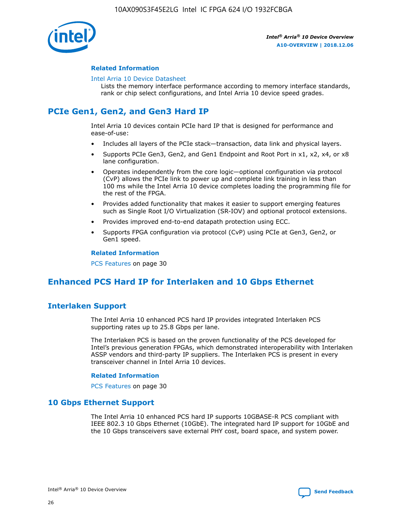

#### **Related Information**

#### [Intel Arria 10 Device Datasheet](https://www.intel.com/content/www/us/en/programmable/documentation/mcn1413182292568.html#mcn1413182153340)

Lists the memory interface performance according to memory interface standards, rank or chip select configurations, and Intel Arria 10 device speed grades.

# **PCIe Gen1, Gen2, and Gen3 Hard IP**

Intel Arria 10 devices contain PCIe hard IP that is designed for performance and ease-of-use:

- Includes all layers of the PCIe stack—transaction, data link and physical layers.
- Supports PCIe Gen3, Gen2, and Gen1 Endpoint and Root Port in x1, x2, x4, or x8 lane configuration.
- Operates independently from the core logic—optional configuration via protocol (CvP) allows the PCIe link to power up and complete link training in less than 100 ms while the Intel Arria 10 device completes loading the programming file for the rest of the FPGA.
- Provides added functionality that makes it easier to support emerging features such as Single Root I/O Virtualization (SR-IOV) and optional protocol extensions.
- Provides improved end-to-end datapath protection using ECC.
- Supports FPGA configuration via protocol (CvP) using PCIe at Gen3, Gen2, or Gen1 speed.

#### **Related Information**

PCS Features on page 30

# **Enhanced PCS Hard IP for Interlaken and 10 Gbps Ethernet**

## **Interlaken Support**

The Intel Arria 10 enhanced PCS hard IP provides integrated Interlaken PCS supporting rates up to 25.8 Gbps per lane.

The Interlaken PCS is based on the proven functionality of the PCS developed for Intel's previous generation FPGAs, which demonstrated interoperability with Interlaken ASSP vendors and third-party IP suppliers. The Interlaken PCS is present in every transceiver channel in Intel Arria 10 devices.

#### **Related Information**

PCS Features on page 30

## **10 Gbps Ethernet Support**

The Intel Arria 10 enhanced PCS hard IP supports 10GBASE-R PCS compliant with IEEE 802.3 10 Gbps Ethernet (10GbE). The integrated hard IP support for 10GbE and the 10 Gbps transceivers save external PHY cost, board space, and system power.

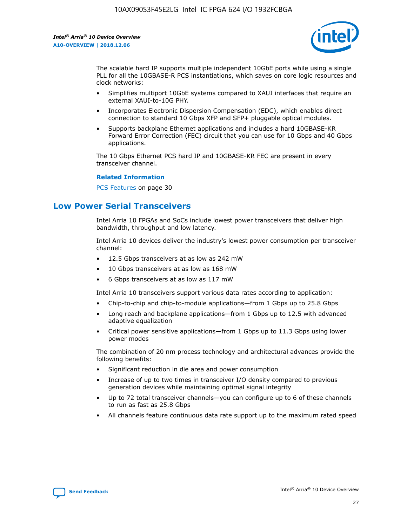

The scalable hard IP supports multiple independent 10GbE ports while using a single PLL for all the 10GBASE-R PCS instantiations, which saves on core logic resources and clock networks:

- Simplifies multiport 10GbE systems compared to XAUI interfaces that require an external XAUI-to-10G PHY.
- Incorporates Electronic Dispersion Compensation (EDC), which enables direct connection to standard 10 Gbps XFP and SFP+ pluggable optical modules.
- Supports backplane Ethernet applications and includes a hard 10GBASE-KR Forward Error Correction (FEC) circuit that you can use for 10 Gbps and 40 Gbps applications.

The 10 Gbps Ethernet PCS hard IP and 10GBASE-KR FEC are present in every transceiver channel.

#### **Related Information**

PCS Features on page 30

# **Low Power Serial Transceivers**

Intel Arria 10 FPGAs and SoCs include lowest power transceivers that deliver high bandwidth, throughput and low latency.

Intel Arria 10 devices deliver the industry's lowest power consumption per transceiver channel:

- 12.5 Gbps transceivers at as low as 242 mW
- 10 Gbps transceivers at as low as 168 mW
- 6 Gbps transceivers at as low as 117 mW

Intel Arria 10 transceivers support various data rates according to application:

- Chip-to-chip and chip-to-module applications—from 1 Gbps up to 25.8 Gbps
- Long reach and backplane applications—from 1 Gbps up to 12.5 with advanced adaptive equalization
- Critical power sensitive applications—from 1 Gbps up to 11.3 Gbps using lower power modes

The combination of 20 nm process technology and architectural advances provide the following benefits:

- Significant reduction in die area and power consumption
- Increase of up to two times in transceiver I/O density compared to previous generation devices while maintaining optimal signal integrity
- Up to 72 total transceiver channels—you can configure up to 6 of these channels to run as fast as 25.8 Gbps
- All channels feature continuous data rate support up to the maximum rated speed

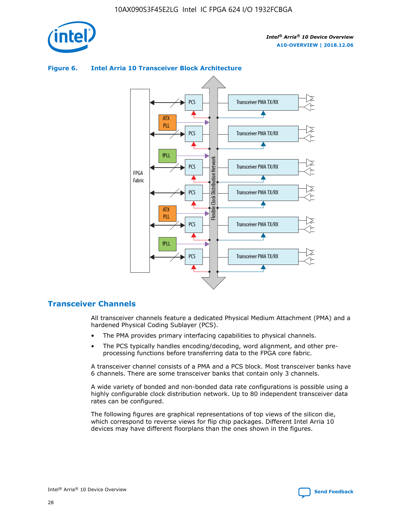

## Transceiver PMA TX/RX PCS ATX PLL Transceiver PMA TX/RX PCS fPLL Network Flexible Clock Distribution Network PCS Transceiver PMA TX/RX FPGA **Clock Distribution** Fabric PCS Transceiver PMA TX/RX ATX Flexible PLL PCS Transceiver PMA TX/RX ▲ fPLL Transceiver PMA TX/RX PCS 4

## **Figure 6. Intel Arria 10 Transceiver Block Architecture**

## **Transceiver Channels**

All transceiver channels feature a dedicated Physical Medium Attachment (PMA) and a hardened Physical Coding Sublayer (PCS).

- The PMA provides primary interfacing capabilities to physical channels.
- The PCS typically handles encoding/decoding, word alignment, and other preprocessing functions before transferring data to the FPGA core fabric.

A transceiver channel consists of a PMA and a PCS block. Most transceiver banks have 6 channels. There are some transceiver banks that contain only 3 channels.

A wide variety of bonded and non-bonded data rate configurations is possible using a highly configurable clock distribution network. Up to 80 independent transceiver data rates can be configured.

The following figures are graphical representations of top views of the silicon die, which correspond to reverse views for flip chip packages. Different Intel Arria 10 devices may have different floorplans than the ones shown in the figures.

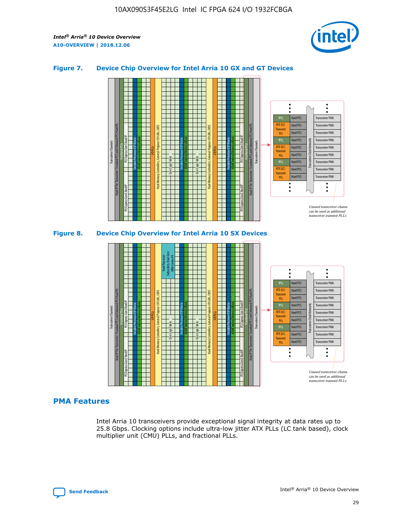

## **Figure 7. Device Chip Overview for Intel Arria 10 GX and GT Devices**



M20K Internal Memory Blocks Core Logic Fabric Transceiver Channels Hard IP Per Transceiver: Standard PCS and Enhanced PCS Hard IPs PCI Express Gen3 Hard IP Fractional PLLs M20K Internal Memory Blocks PCI Express Gen3 Hard IP Variable Precision DSP Blocks I/O PLLs Hard Memory Controllers, General-Purpose I/O Cells, LVDS Hard Processor Subsystem, Dual-Core ARM Cortex A9 M20K Internal Memory Blocks Variable Precision DSP Blocks M20K Internal Memory Blocks Core Logic Fabric I/O PLLs Hard Memory Controllers, General-Purpose I/O Cells, LVDS M20K Internal Memory Blocks Variable Precision DSP Blocks M20K Internal Memory Blocks Transceiver Channels Hard IP Per Transceiver: Standard PCS and Enhanced PCS Hard IPs PCI Express Gen3 Hard IP Fractional PLLs PCI Express Gen3 Hard IP  $\ddot{\cdot}$ Hard PCS Transceiver PMA fPLL ATX (LC) Hard PCS Transceiver PMA **Transmit** Hard PCS Transceiver PMA PLL fPLL Hard PCS Transceiver PMA Transceiver Clock Networks ATX (LC) Hard PCS Transceiver PMA Transmi Hard PCS Transceiver PMA PLL fPLL Hard PCS Transceiver PMA Transceiver PMA Hard PCS ATX (LC) **Transmit** Hard PCS Transceiver PMA PLL Unused transceiver chann can be used as additional transceiver transmit PLLs

## **PMA Features**

Intel Arria 10 transceivers provide exceptional signal integrity at data rates up to 25.8 Gbps. Clocking options include ultra-low jitter ATX PLLs (LC tank based), clock multiplier unit (CMU) PLLs, and fractional PLLs.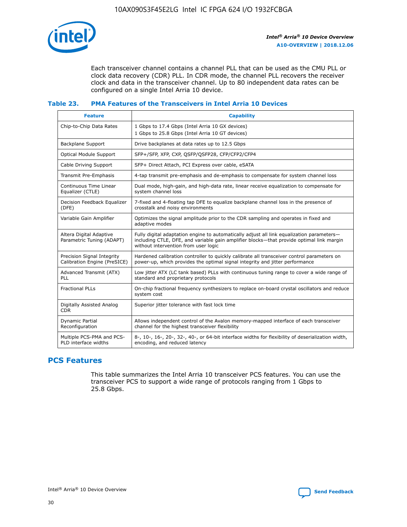

Each transceiver channel contains a channel PLL that can be used as the CMU PLL or clock data recovery (CDR) PLL. In CDR mode, the channel PLL recovers the receiver clock and data in the transceiver channel. Up to 80 independent data rates can be configured on a single Intel Arria 10 device.

## **Table 23. PMA Features of the Transceivers in Intel Arria 10 Devices**

| <b>Feature</b>                                             | <b>Capability</b>                                                                                                                                                                                                             |
|------------------------------------------------------------|-------------------------------------------------------------------------------------------------------------------------------------------------------------------------------------------------------------------------------|
| Chip-to-Chip Data Rates                                    | 1 Gbps to 17.4 Gbps (Intel Arria 10 GX devices)<br>1 Gbps to 25.8 Gbps (Intel Arria 10 GT devices)                                                                                                                            |
| <b>Backplane Support</b>                                   | Drive backplanes at data rates up to 12.5 Gbps                                                                                                                                                                                |
| <b>Optical Module Support</b>                              | SFP+/SFP, XFP, CXP, QSFP/QSFP28, CFP/CFP2/CFP4                                                                                                                                                                                |
| Cable Driving Support                                      | SFP+ Direct Attach, PCI Express over cable, eSATA                                                                                                                                                                             |
| Transmit Pre-Emphasis                                      | 4-tap transmit pre-emphasis and de-emphasis to compensate for system channel loss                                                                                                                                             |
| Continuous Time Linear<br>Equalizer (CTLE)                 | Dual mode, high-gain, and high-data rate, linear receive equalization to compensate for<br>system channel loss                                                                                                                |
| Decision Feedback Equalizer<br>(DFE)                       | 7-fixed and 4-floating tap DFE to equalize backplane channel loss in the presence of<br>crosstalk and noisy environments                                                                                                      |
| Variable Gain Amplifier                                    | Optimizes the signal amplitude prior to the CDR sampling and operates in fixed and<br>adaptive modes                                                                                                                          |
| Altera Digital Adaptive<br>Parametric Tuning (ADAPT)       | Fully digital adaptation engine to automatically adjust all link equalization parameters-<br>including CTLE, DFE, and variable gain amplifier blocks—that provide optimal link margin<br>without intervention from user logic |
| Precision Signal Integrity<br>Calibration Engine (PreSICE) | Hardened calibration controller to quickly calibrate all transceiver control parameters on<br>power-up, which provides the optimal signal integrity and jitter performance                                                    |
| Advanced Transmit (ATX)<br><b>PLL</b>                      | Low jitter ATX (LC tank based) PLLs with continuous tuning range to cover a wide range of<br>standard and proprietary protocols                                                                                               |
| <b>Fractional PLLs</b>                                     | On-chip fractional frequency synthesizers to replace on-board crystal oscillators and reduce<br>system cost                                                                                                                   |
| Digitally Assisted Analog<br><b>CDR</b>                    | Superior jitter tolerance with fast lock time                                                                                                                                                                                 |
| <b>Dynamic Partial</b><br>Reconfiguration                  | Allows independent control of the Avalon memory-mapped interface of each transceiver<br>channel for the highest transceiver flexibility                                                                                       |
| Multiple PCS-PMA and PCS-<br>PLD interface widths          | 8-, 10-, 16-, 20-, 32-, 40-, or 64-bit interface widths for flexibility of deserialization width,<br>encoding, and reduced latency                                                                                            |

## **PCS Features**

This table summarizes the Intel Arria 10 transceiver PCS features. You can use the transceiver PCS to support a wide range of protocols ranging from 1 Gbps to 25.8 Gbps.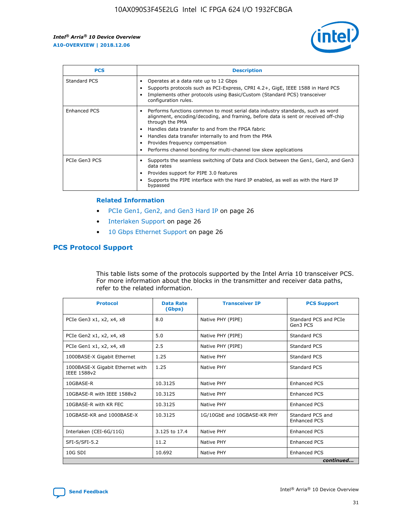

| <b>PCS</b>    | <b>Description</b>                                                                                                                                                                                                                                                                                                                                                                                             |
|---------------|----------------------------------------------------------------------------------------------------------------------------------------------------------------------------------------------------------------------------------------------------------------------------------------------------------------------------------------------------------------------------------------------------------------|
| Standard PCS  | Operates at a data rate up to 12 Gbps<br>Supports protocols such as PCI-Express, CPRI 4.2+, GigE, IEEE 1588 in Hard PCS<br>Implements other protocols using Basic/Custom (Standard PCS) transceiver<br>configuration rules.                                                                                                                                                                                    |
| Enhanced PCS  | Performs functions common to most serial data industry standards, such as word<br>alignment, encoding/decoding, and framing, before data is sent or received off-chip<br>through the PMA<br>• Handles data transfer to and from the FPGA fabric<br>Handles data transfer internally to and from the PMA<br>Provides frequency compensation<br>Performs channel bonding for multi-channel low skew applications |
| PCIe Gen3 PCS | Supports the seamless switching of Data and Clock between the Gen1, Gen2, and Gen3<br>data rates<br>Provides support for PIPE 3.0 features<br>Supports the PIPE interface with the Hard IP enabled, as well as with the Hard IP<br>bypassed                                                                                                                                                                    |

#### **Related Information**

- PCIe Gen1, Gen2, and Gen3 Hard IP on page 26
- Interlaken Support on page 26
- 10 Gbps Ethernet Support on page 26

## **PCS Protocol Support**

This table lists some of the protocols supported by the Intel Arria 10 transceiver PCS. For more information about the blocks in the transmitter and receiver data paths, refer to the related information.

| <b>Protocol</b>                                 | <b>Data Rate</b><br>(Gbps) | <b>Transceiver IP</b>       | <b>PCS Support</b>                      |
|-------------------------------------------------|----------------------------|-----------------------------|-----------------------------------------|
| PCIe Gen3 x1, x2, x4, x8                        | 8.0                        | Native PHY (PIPE)           | Standard PCS and PCIe<br>Gen3 PCS       |
| PCIe Gen2 x1, x2, x4, x8                        | 5.0                        | Native PHY (PIPE)           | <b>Standard PCS</b>                     |
| PCIe Gen1 x1, x2, x4, x8                        | 2.5                        | Native PHY (PIPE)           | Standard PCS                            |
| 1000BASE-X Gigabit Ethernet                     | 1.25                       | Native PHY                  | <b>Standard PCS</b>                     |
| 1000BASE-X Gigabit Ethernet with<br>IEEE 1588v2 | 1.25                       | Native PHY                  | Standard PCS                            |
| 10GBASE-R                                       | 10.3125                    | Native PHY                  | <b>Enhanced PCS</b>                     |
| 10GBASE-R with IEEE 1588v2                      | 10.3125                    | Native PHY                  | <b>Enhanced PCS</b>                     |
| 10GBASE-R with KR FEC                           | 10.3125                    | Native PHY                  | <b>Enhanced PCS</b>                     |
| 10GBASE-KR and 1000BASE-X                       | 10.3125                    | 1G/10GbE and 10GBASE-KR PHY | Standard PCS and<br><b>Enhanced PCS</b> |
| Interlaken (CEI-6G/11G)                         | 3.125 to 17.4              | Native PHY                  | <b>Enhanced PCS</b>                     |
| SFI-S/SFI-5.2                                   | 11.2                       | Native PHY                  | <b>Enhanced PCS</b>                     |
| $10G$ SDI                                       | 10.692                     | Native PHY                  | <b>Enhanced PCS</b>                     |
|                                                 |                            |                             | continued                               |

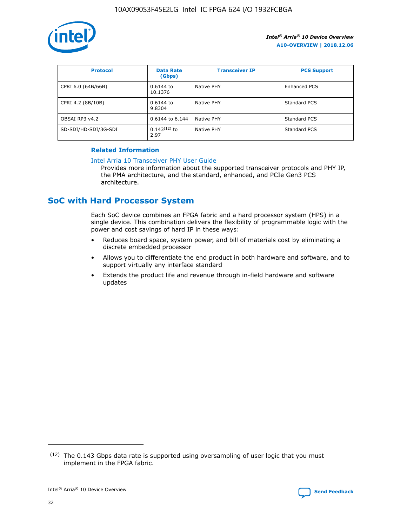

| <b>Protocol</b>      | <b>Data Rate</b><br>(Gbps) | <b>Transceiver IP</b> | <b>PCS Support</b> |
|----------------------|----------------------------|-----------------------|--------------------|
| CPRI 6.0 (64B/66B)   | 0.6144 to<br>10.1376       | Native PHY            | Enhanced PCS       |
| CPRI 4.2 (8B/10B)    | 0.6144 to<br>9.8304        | Native PHY            | Standard PCS       |
| OBSAI RP3 v4.2       | 0.6144 to 6.144            | Native PHY            | Standard PCS       |
| SD-SDI/HD-SDI/3G-SDI | $0.143(12)$ to<br>2.97     | Native PHY            | Standard PCS       |

## **Related Information**

#### [Intel Arria 10 Transceiver PHY User Guide](https://www.intel.com/content/www/us/en/programmable/documentation/nik1398707230472.html#nik1398707091164)

Provides more information about the supported transceiver protocols and PHY IP, the PMA architecture, and the standard, enhanced, and PCIe Gen3 PCS architecture.

# **SoC with Hard Processor System**

Each SoC device combines an FPGA fabric and a hard processor system (HPS) in a single device. This combination delivers the flexibility of programmable logic with the power and cost savings of hard IP in these ways:

- Reduces board space, system power, and bill of materials cost by eliminating a discrete embedded processor
- Allows you to differentiate the end product in both hardware and software, and to support virtually any interface standard
- Extends the product life and revenue through in-field hardware and software updates

 $(12)$  The 0.143 Gbps data rate is supported using oversampling of user logic that you must implement in the FPGA fabric.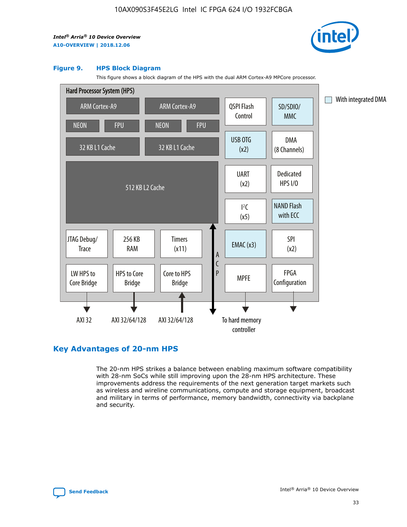

#### **Figure 9. HPS Block Diagram**

This figure shows a block diagram of the HPS with the dual ARM Cortex-A9 MPCore processor.



## **Key Advantages of 20-nm HPS**

The 20-nm HPS strikes a balance between enabling maximum software compatibility with 28-nm SoCs while still improving upon the 28-nm HPS architecture. These improvements address the requirements of the next generation target markets such as wireless and wireline communications, compute and storage equipment, broadcast and military in terms of performance, memory bandwidth, connectivity via backplane and security.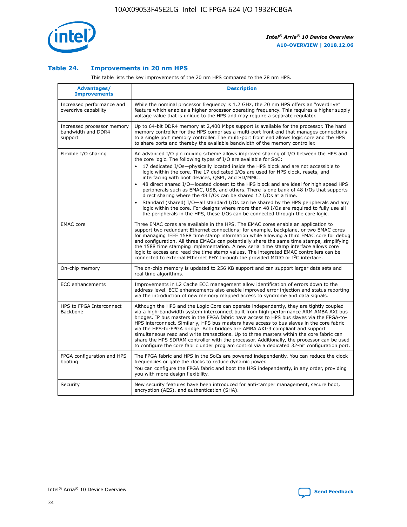

## **Table 24. Improvements in 20 nm HPS**

This table lists the key improvements of the 20 nm HPS compared to the 28 nm HPS.

| Advantages/<br><b>Improvements</b>                          | <b>Description</b>                                                                                                                                                                                                                                                                                                                                                                                                                                                                                                                                                                                                                                                                                                                                                                                                                                                                                                                                |
|-------------------------------------------------------------|---------------------------------------------------------------------------------------------------------------------------------------------------------------------------------------------------------------------------------------------------------------------------------------------------------------------------------------------------------------------------------------------------------------------------------------------------------------------------------------------------------------------------------------------------------------------------------------------------------------------------------------------------------------------------------------------------------------------------------------------------------------------------------------------------------------------------------------------------------------------------------------------------------------------------------------------------|
| Increased performance and<br>overdrive capability           | While the nominal processor frequency is 1.2 GHz, the 20 nm HPS offers an "overdrive"<br>feature which enables a higher processor operating frequency. This requires a higher supply<br>voltage value that is unique to the HPS and may require a separate regulator.                                                                                                                                                                                                                                                                                                                                                                                                                                                                                                                                                                                                                                                                             |
| Increased processor memory<br>bandwidth and DDR4<br>support | Up to 64-bit DDR4 memory at 2,400 Mbps support is available for the processor. The hard<br>memory controller for the HPS comprises a multi-port front end that manages connections<br>to a single port memory controller. The multi-port front end allows logic core and the HPS<br>to share ports and thereby the available bandwidth of the memory controller.                                                                                                                                                                                                                                                                                                                                                                                                                                                                                                                                                                                  |
| Flexible I/O sharing                                        | An advanced I/O pin muxing scheme allows improved sharing of I/O between the HPS and<br>the core logic. The following types of I/O are available for SoC:<br>17 dedicated I/Os-physically located inside the HPS block and are not accessible to<br>$\bullet$<br>logic within the core. The 17 dedicated I/Os are used for HPS clock, resets, and<br>interfacing with boot devices, QSPI, and SD/MMC.<br>48 direct shared I/O-located closest to the HPS block and are ideal for high speed HPS<br>$\bullet$<br>peripherals such as EMAC, USB, and others. There is one bank of 48 I/Os that supports<br>direct sharing where the 48 I/Os can be shared 12 I/Os at a time.<br>Standard (shared) I/O-all standard I/Os can be shared by the HPS peripherals and any<br>logic within the core. For designs where more than 48 I/Os are reguired to fully use all<br>the peripherals in the HPS, these I/Os can be connected through the core logic. |
| <b>EMAC</b> core                                            | Three EMAC cores are available in the HPS. The EMAC cores enable an application to<br>support two redundant Ethernet connections; for example, backplane, or two EMAC cores<br>for managing IEEE 1588 time stamp information while allowing a third EMAC core for debug<br>and configuration. All three EMACs can potentially share the same time stamps, simplifying<br>the 1588 time stamping implementation. A new serial time stamp interface allows core<br>logic to access and read the time stamp values. The integrated EMAC controllers can be<br>connected to external Ethernet PHY through the provided MDIO or I <sup>2</sup> C interface.                                                                                                                                                                                                                                                                                            |
| On-chip memory                                              | The on-chip memory is updated to 256 KB support and can support larger data sets and<br>real time algorithms.                                                                                                                                                                                                                                                                                                                                                                                                                                                                                                                                                                                                                                                                                                                                                                                                                                     |
| <b>ECC</b> enhancements                                     | Improvements in L2 Cache ECC management allow identification of errors down to the<br>address level. ECC enhancements also enable improved error injection and status reporting<br>via the introduction of new memory mapped access to syndrome and data signals.                                                                                                                                                                                                                                                                                                                                                                                                                                                                                                                                                                                                                                                                                 |
| HPS to FPGA Interconnect<br>Backbone                        | Although the HPS and the Logic Core can operate independently, they are tightly coupled<br>via a high-bandwidth system interconnect built from high-performance ARM AMBA AXI bus<br>bridges. IP bus masters in the FPGA fabric have access to HPS bus slaves via the FPGA-to-<br>HPS interconnect. Similarly, HPS bus masters have access to bus slaves in the core fabric<br>via the HPS-to-FPGA bridge. Both bridges are AMBA AXI-3 compliant and support<br>simultaneous read and write transactions. Up to three masters within the core fabric can<br>share the HPS SDRAM controller with the processor. Additionally, the processor can be used<br>to configure the core fabric under program control via a dedicated 32-bit configuration port.                                                                                                                                                                                            |
| FPGA configuration and HPS<br>booting                       | The FPGA fabric and HPS in the SoCs are powered independently. You can reduce the clock<br>frequencies or gate the clocks to reduce dynamic power.<br>You can configure the FPGA fabric and boot the HPS independently, in any order, providing<br>you with more design flexibility.                                                                                                                                                                                                                                                                                                                                                                                                                                                                                                                                                                                                                                                              |
| Security                                                    | New security features have been introduced for anti-tamper management, secure boot,<br>encryption (AES), and authentication (SHA).                                                                                                                                                                                                                                                                                                                                                                                                                                                                                                                                                                                                                                                                                                                                                                                                                |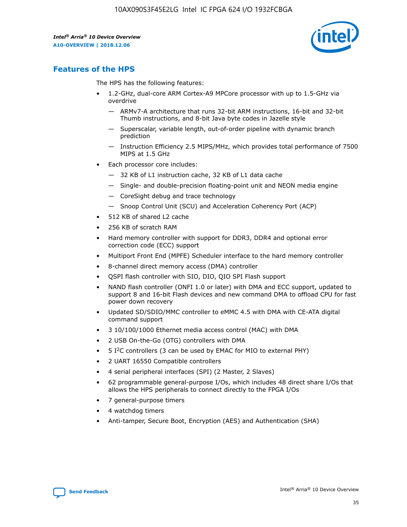

## **Features of the HPS**

The HPS has the following features:

- 1.2-GHz, dual-core ARM Cortex-A9 MPCore processor with up to 1.5-GHz via overdrive
	- ARMv7-A architecture that runs 32-bit ARM instructions, 16-bit and 32-bit Thumb instructions, and 8-bit Java byte codes in Jazelle style
	- Superscalar, variable length, out-of-order pipeline with dynamic branch prediction
	- Instruction Efficiency 2.5 MIPS/MHz, which provides total performance of 7500 MIPS at 1.5 GHz
- Each processor core includes:
	- 32 KB of L1 instruction cache, 32 KB of L1 data cache
	- Single- and double-precision floating-point unit and NEON media engine
	- CoreSight debug and trace technology
	- Snoop Control Unit (SCU) and Acceleration Coherency Port (ACP)
- 512 KB of shared L2 cache
- 256 KB of scratch RAM
- Hard memory controller with support for DDR3, DDR4 and optional error correction code (ECC) support
- Multiport Front End (MPFE) Scheduler interface to the hard memory controller
- 8-channel direct memory access (DMA) controller
- QSPI flash controller with SIO, DIO, QIO SPI Flash support
- NAND flash controller (ONFI 1.0 or later) with DMA and ECC support, updated to support 8 and 16-bit Flash devices and new command DMA to offload CPU for fast power down recovery
- Updated SD/SDIO/MMC controller to eMMC 4.5 with DMA with CE-ATA digital command support
- 3 10/100/1000 Ethernet media access control (MAC) with DMA
- 2 USB On-the-Go (OTG) controllers with DMA
- $\bullet$  5 I<sup>2</sup>C controllers (3 can be used by EMAC for MIO to external PHY)
- 2 UART 16550 Compatible controllers
- 4 serial peripheral interfaces (SPI) (2 Master, 2 Slaves)
- 62 programmable general-purpose I/Os, which includes 48 direct share I/Os that allows the HPS peripherals to connect directly to the FPGA I/Os
- 7 general-purpose timers
- 4 watchdog timers
- Anti-tamper, Secure Boot, Encryption (AES) and Authentication (SHA)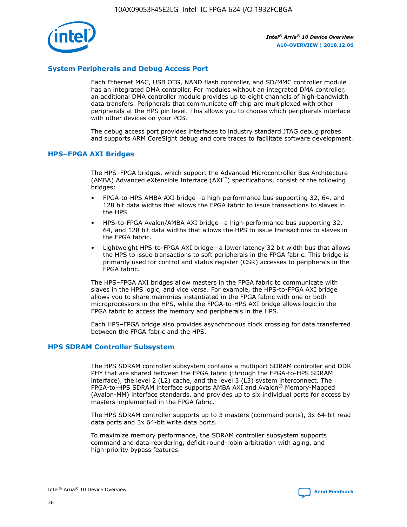

## **System Peripherals and Debug Access Port**

Each Ethernet MAC, USB OTG, NAND flash controller, and SD/MMC controller module has an integrated DMA controller. For modules without an integrated DMA controller, an additional DMA controller module provides up to eight channels of high-bandwidth data transfers. Peripherals that communicate off-chip are multiplexed with other peripherals at the HPS pin level. This allows you to choose which peripherals interface with other devices on your PCB.

The debug access port provides interfaces to industry standard JTAG debug probes and supports ARM CoreSight debug and core traces to facilitate software development.

#### **HPS–FPGA AXI Bridges**

The HPS–FPGA bridges, which support the Advanced Microcontroller Bus Architecture (AMBA) Advanced eXtensible Interface (AXI™) specifications, consist of the following bridges:

- FPGA-to-HPS AMBA AXI bridge—a high-performance bus supporting 32, 64, and 128 bit data widths that allows the FPGA fabric to issue transactions to slaves in the HPS.
- HPS-to-FPGA Avalon/AMBA AXI bridge—a high-performance bus supporting 32, 64, and 128 bit data widths that allows the HPS to issue transactions to slaves in the FPGA fabric.
- Lightweight HPS-to-FPGA AXI bridge—a lower latency 32 bit width bus that allows the HPS to issue transactions to soft peripherals in the FPGA fabric. This bridge is primarily used for control and status register (CSR) accesses to peripherals in the FPGA fabric.

The HPS–FPGA AXI bridges allow masters in the FPGA fabric to communicate with slaves in the HPS logic, and vice versa. For example, the HPS-to-FPGA AXI bridge allows you to share memories instantiated in the FPGA fabric with one or both microprocessors in the HPS, while the FPGA-to-HPS AXI bridge allows logic in the FPGA fabric to access the memory and peripherals in the HPS.

Each HPS–FPGA bridge also provides asynchronous clock crossing for data transferred between the FPGA fabric and the HPS.

#### **HPS SDRAM Controller Subsystem**

The HPS SDRAM controller subsystem contains a multiport SDRAM controller and DDR PHY that are shared between the FPGA fabric (through the FPGA-to-HPS SDRAM interface), the level 2 (L2) cache, and the level 3 (L3) system interconnect. The FPGA-to-HPS SDRAM interface supports AMBA AXI and Avalon® Memory-Mapped (Avalon-MM) interface standards, and provides up to six individual ports for access by masters implemented in the FPGA fabric.

The HPS SDRAM controller supports up to 3 masters (command ports), 3x 64-bit read data ports and 3x 64-bit write data ports.

To maximize memory performance, the SDRAM controller subsystem supports command and data reordering, deficit round-robin arbitration with aging, and high-priority bypass features.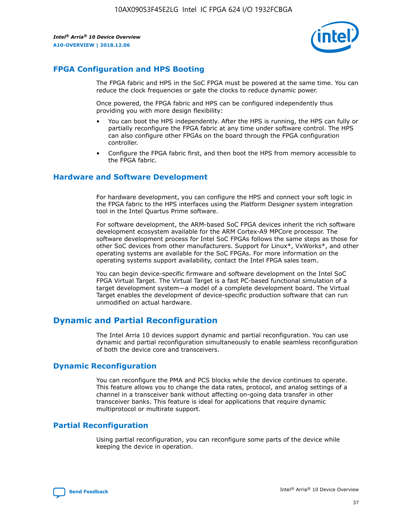

## **FPGA Configuration and HPS Booting**

The FPGA fabric and HPS in the SoC FPGA must be powered at the same time. You can reduce the clock frequencies or gate the clocks to reduce dynamic power.

Once powered, the FPGA fabric and HPS can be configured independently thus providing you with more design flexibility:

- You can boot the HPS independently. After the HPS is running, the HPS can fully or partially reconfigure the FPGA fabric at any time under software control. The HPS can also configure other FPGAs on the board through the FPGA configuration controller.
- Configure the FPGA fabric first, and then boot the HPS from memory accessible to the FPGA fabric.

## **Hardware and Software Development**

For hardware development, you can configure the HPS and connect your soft logic in the FPGA fabric to the HPS interfaces using the Platform Designer system integration tool in the Intel Quartus Prime software.

For software development, the ARM-based SoC FPGA devices inherit the rich software development ecosystem available for the ARM Cortex-A9 MPCore processor. The software development process for Intel SoC FPGAs follows the same steps as those for other SoC devices from other manufacturers. Support for Linux\*, VxWorks\*, and other operating systems are available for the SoC FPGAs. For more information on the operating systems support availability, contact the Intel FPGA sales team.

You can begin device-specific firmware and software development on the Intel SoC FPGA Virtual Target. The Virtual Target is a fast PC-based functional simulation of a target development system—a model of a complete development board. The Virtual Target enables the development of device-specific production software that can run unmodified on actual hardware.

## **Dynamic and Partial Reconfiguration**

The Intel Arria 10 devices support dynamic and partial reconfiguration. You can use dynamic and partial reconfiguration simultaneously to enable seamless reconfiguration of both the device core and transceivers.

## **Dynamic Reconfiguration**

You can reconfigure the PMA and PCS blocks while the device continues to operate. This feature allows you to change the data rates, protocol, and analog settings of a channel in a transceiver bank without affecting on-going data transfer in other transceiver banks. This feature is ideal for applications that require dynamic multiprotocol or multirate support.

## **Partial Reconfiguration**

Using partial reconfiguration, you can reconfigure some parts of the device while keeping the device in operation.

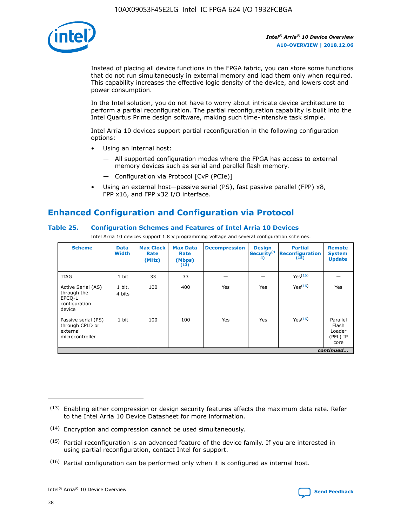

Instead of placing all device functions in the FPGA fabric, you can store some functions that do not run simultaneously in external memory and load them only when required. This capability increases the effective logic density of the device, and lowers cost and power consumption.

In the Intel solution, you do not have to worry about intricate device architecture to perform a partial reconfiguration. The partial reconfiguration capability is built into the Intel Quartus Prime design software, making such time-intensive task simple.

Intel Arria 10 devices support partial reconfiguration in the following configuration options:

- Using an internal host:
	- All supported configuration modes where the FPGA has access to external memory devices such as serial and parallel flash memory.
	- Configuration via Protocol [CvP (PCIe)]
- Using an external host—passive serial (PS), fast passive parallel (FPP) x8, FPP x16, and FPP x32 I/O interface.

# **Enhanced Configuration and Configuration via Protocol**

## **Table 25. Configuration Schemes and Features of Intel Arria 10 Devices**

Intel Arria 10 devices support 1.8 V programming voltage and several configuration schemes.

| <b>Scheme</b>                                                          | <b>Data</b><br><b>Width</b> | <b>Max Clock</b><br>Rate<br>(MHz) | <b>Max Data</b><br>Rate<br>(Mbps)<br>(13) | <b>Decompression</b> | <b>Design</b><br>Security <sup>(1</sup><br>4) | <b>Partial</b><br><b>Reconfiguration</b><br>(15) | <b>Remote</b><br><b>System</b><br><b>Update</b> |
|------------------------------------------------------------------------|-----------------------------|-----------------------------------|-------------------------------------------|----------------------|-----------------------------------------------|--------------------------------------------------|-------------------------------------------------|
| <b>JTAG</b>                                                            | 1 bit                       | 33                                | 33                                        |                      |                                               | Yes(16)                                          |                                                 |
| Active Serial (AS)<br>through the<br>EPCO-L<br>configuration<br>device | 1 bit,<br>4 bits            | 100                               | 400                                       | Yes                  | Yes                                           | $Y_{PS}(16)$                                     | Yes                                             |
| Passive serial (PS)<br>through CPLD or<br>external<br>microcontroller  | 1 bit                       | 100                               | 100                                       | Yes                  | Yes                                           | Yes(16)                                          | Parallel<br>Flash<br>Loader<br>(PFL) IP<br>core |
|                                                                        |                             |                                   |                                           |                      |                                               |                                                  | continued                                       |

<sup>(13)</sup> Enabling either compression or design security features affects the maximum data rate. Refer to the Intel Arria 10 Device Datasheet for more information.

<sup>(14)</sup> Encryption and compression cannot be used simultaneously.

 $<sup>(15)</sup>$  Partial reconfiguration is an advanced feature of the device family. If you are interested in</sup> using partial reconfiguration, contact Intel for support.

 $(16)$  Partial configuration can be performed only when it is configured as internal host.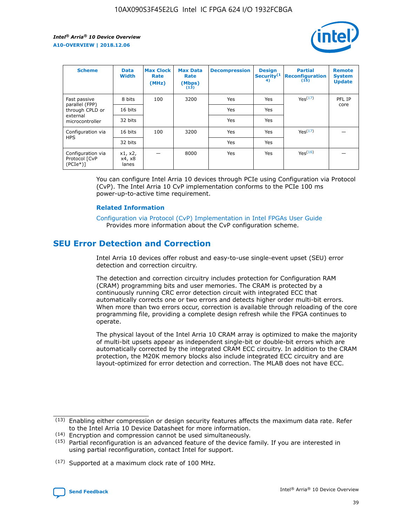

| <b>Scheme</b>                                    | <b>Data</b><br><b>Width</b> | <b>Max Clock</b><br>Rate<br>(MHz) | <b>Max Data</b><br>Rate<br>(Mbps)<br>(13) | <b>Decompression</b> | <b>Design</b><br>Security <sup>(1</sup><br>4) | <b>Partial</b><br><b>Reconfiguration</b><br>(15) | <b>Remote</b><br><b>System</b><br><b>Update</b> |
|--------------------------------------------------|-----------------------------|-----------------------------------|-------------------------------------------|----------------------|-----------------------------------------------|--------------------------------------------------|-------------------------------------------------|
| Fast passive                                     | 8 bits                      | 100                               | 3200                                      | <b>Yes</b>           | Yes                                           | Yes(17)                                          | PFL IP                                          |
| parallel (FPP)<br>through CPLD or                | 16 bits                     |                                   |                                           | Yes                  | Yes                                           |                                                  | core                                            |
| external<br>microcontroller                      | 32 bits                     |                                   |                                           | Yes                  | Yes                                           |                                                  |                                                 |
| Configuration via                                | 16 bits                     | 100                               | 3200                                      | Yes                  | Yes                                           | Yes <sup>(17)</sup>                              |                                                 |
| <b>HPS</b>                                       | 32 bits                     |                                   |                                           | Yes                  | Yes                                           |                                                  |                                                 |
| Configuration via<br>Protocol [CvP<br>$(PCIe^*)$ | x1, x2,<br>x4, x8<br>lanes  |                                   | 8000                                      | Yes                  | Yes                                           | Yes <sup>(16)</sup>                              |                                                 |

You can configure Intel Arria 10 devices through PCIe using Configuration via Protocol (CvP). The Intel Arria 10 CvP implementation conforms to the PCIe 100 ms power-up-to-active time requirement.

#### **Related Information**

[Configuration via Protocol \(CvP\) Implementation in Intel FPGAs User Guide](https://www.intel.com/content/www/us/en/programmable/documentation/dsu1441819344145.html#dsu1442269728522) Provides more information about the CvP configuration scheme.

# **SEU Error Detection and Correction**

Intel Arria 10 devices offer robust and easy-to-use single-event upset (SEU) error detection and correction circuitry.

The detection and correction circuitry includes protection for Configuration RAM (CRAM) programming bits and user memories. The CRAM is protected by a continuously running CRC error detection circuit with integrated ECC that automatically corrects one or two errors and detects higher order multi-bit errors. When more than two errors occur, correction is available through reloading of the core programming file, providing a complete design refresh while the FPGA continues to operate.

The physical layout of the Intel Arria 10 CRAM array is optimized to make the majority of multi-bit upsets appear as independent single-bit or double-bit errors which are automatically corrected by the integrated CRAM ECC circuitry. In addition to the CRAM protection, the M20K memory blocks also include integrated ECC circuitry and are layout-optimized for error detection and correction. The MLAB does not have ECC.

(14) Encryption and compression cannot be used simultaneously.

<sup>(17)</sup> Supported at a maximum clock rate of 100 MHz.



 $(13)$  Enabling either compression or design security features affects the maximum data rate. Refer to the Intel Arria 10 Device Datasheet for more information.

 $(15)$  Partial reconfiguration is an advanced feature of the device family. If you are interested in using partial reconfiguration, contact Intel for support.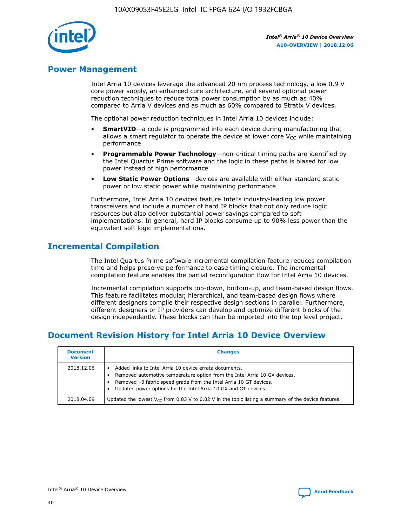

## **Power Management**

Intel Arria 10 devices leverage the advanced 20 nm process technology, a low 0.9 V core power supply, an enhanced core architecture, and several optional power reduction techniques to reduce total power consumption by as much as 40% compared to Arria V devices and as much as 60% compared to Stratix V devices.

The optional power reduction techniques in Intel Arria 10 devices include:

- **SmartVID**—a code is programmed into each device during manufacturing that allows a smart regulator to operate the device at lower core  $V_{CC}$  while maintaining performance
- **Programmable Power Technology**—non-critical timing paths are identified by the Intel Quartus Prime software and the logic in these paths is biased for low power instead of high performance
- **Low Static Power Options**—devices are available with either standard static power or low static power while maintaining performance

Furthermore, Intel Arria 10 devices feature Intel's industry-leading low power transceivers and include a number of hard IP blocks that not only reduce logic resources but also deliver substantial power savings compared to soft implementations. In general, hard IP blocks consume up to 90% less power than the equivalent soft logic implementations.

# **Incremental Compilation**

The Intel Quartus Prime software incremental compilation feature reduces compilation time and helps preserve performance to ease timing closure. The incremental compilation feature enables the partial reconfiguration flow for Intel Arria 10 devices.

Incremental compilation supports top-down, bottom-up, and team-based design flows. This feature facilitates modular, hierarchical, and team-based design flows where different designers compile their respective design sections in parallel. Furthermore, different designers or IP providers can develop and optimize different blocks of the design independently. These blocks can then be imported into the top level project.

# **Document Revision History for Intel Arria 10 Device Overview**

| <b>Document</b><br><b>Version</b> | <b>Changes</b>                                                                                                                                                                                                                                                              |
|-----------------------------------|-----------------------------------------------------------------------------------------------------------------------------------------------------------------------------------------------------------------------------------------------------------------------------|
| 2018.12.06                        | Added links to Intel Arria 10 device errata documents.<br>Removed automotive temperature option from the Intel Arria 10 GX devices.<br>Removed -3 fabric speed grade from the Intel Arria 10 GT devices.<br>Updated power options for the Intel Arria 10 GX and GT devices. |
| 2018.04.09                        | Updated the lowest $V_{CC}$ from 0.83 V to 0.82 V in the topic listing a summary of the device features.                                                                                                                                                                    |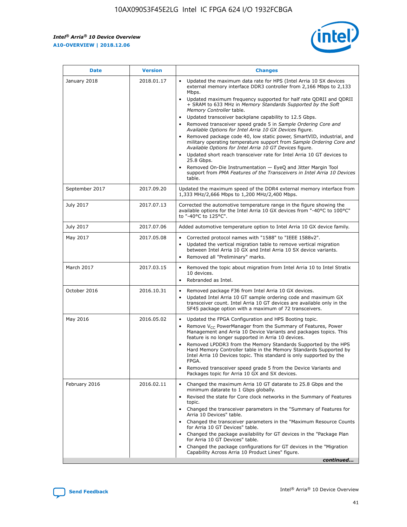*Intel® Arria® 10 Device Overview* **A10-OVERVIEW | 2018.12.06**



| <b>Date</b>    | <b>Version</b> | <b>Changes</b>                                                                                                                                                                                                                                                                                                                                                                                                                                                                                                                                                                                                                                                                                                                                                                                                                                                                                                                                                            |
|----------------|----------------|---------------------------------------------------------------------------------------------------------------------------------------------------------------------------------------------------------------------------------------------------------------------------------------------------------------------------------------------------------------------------------------------------------------------------------------------------------------------------------------------------------------------------------------------------------------------------------------------------------------------------------------------------------------------------------------------------------------------------------------------------------------------------------------------------------------------------------------------------------------------------------------------------------------------------------------------------------------------------|
| January 2018   | 2018.01.17     | Updated the maximum data rate for HPS (Intel Arria 10 SX devices<br>external memory interface DDR3 controller from 2,166 Mbps to 2,133<br>Mbps.<br>Updated maximum frequency supported for half rate QDRII and QDRII<br>+ SRAM to 633 MHz in Memory Standards Supported by the Soft<br>Memory Controller table.<br>Updated transceiver backplane capability to 12.5 Gbps.<br>$\bullet$<br>Removed transceiver speed grade 5 in Sample Ordering Core and<br>Available Options for Intel Arria 10 GX Devices figure.<br>Removed package code 40, low static power, SmartVID, industrial, and<br>military operating temperature support from Sample Ordering Core and<br>Available Options for Intel Arria 10 GT Devices figure.<br>Updated short reach transceiver rate for Intel Arria 10 GT devices to<br>25.8 Gbps.<br>Removed On-Die Instrumentation - EyeQ and Jitter Margin Tool<br>support from PMA Features of the Transceivers in Intel Arria 10 Devices<br>table. |
| September 2017 | 2017.09.20     | Updated the maximum speed of the DDR4 external memory interface from<br>1,333 MHz/2,666 Mbps to 1,200 MHz/2,400 Mbps.                                                                                                                                                                                                                                                                                                                                                                                                                                                                                                                                                                                                                                                                                                                                                                                                                                                     |
| July 2017      | 2017.07.13     | Corrected the automotive temperature range in the figure showing the<br>available options for the Intel Arria 10 GX devices from "-40°C to 100°C"<br>to "-40°C to 125°C".                                                                                                                                                                                                                                                                                                                                                                                                                                                                                                                                                                                                                                                                                                                                                                                                 |
| July 2017      | 2017.07.06     | Added automotive temperature option to Intel Arria 10 GX device family.                                                                                                                                                                                                                                                                                                                                                                                                                                                                                                                                                                                                                                                                                                                                                                                                                                                                                                   |
| May 2017       | 2017.05.08     | Corrected protocol names with "1588" to "IEEE 1588v2".<br>$\bullet$<br>Updated the vertical migration table to remove vertical migration<br>$\bullet$<br>between Intel Arria 10 GX and Intel Arria 10 SX device variants.<br>Removed all "Preliminary" marks.<br>$\bullet$                                                                                                                                                                                                                                                                                                                                                                                                                                                                                                                                                                                                                                                                                                |
| March 2017     | 2017.03.15     | Removed the topic about migration from Intel Arria 10 to Intel Stratix<br>10 devices.<br>Rebranded as Intel.<br>$\bullet$                                                                                                                                                                                                                                                                                                                                                                                                                                                                                                                                                                                                                                                                                                                                                                                                                                                 |
| October 2016   | 2016.10.31     | Removed package F36 from Intel Arria 10 GX devices.<br>Updated Intel Arria 10 GT sample ordering code and maximum GX<br>$\bullet$<br>transceiver count. Intel Arria 10 GT devices are available only in the<br>SF45 package option with a maximum of 72 transceivers.                                                                                                                                                                                                                                                                                                                                                                                                                                                                                                                                                                                                                                                                                                     |
| May 2016       | 2016.05.02     | Updated the FPGA Configuration and HPS Booting topic.<br>$\bullet$<br>Remove V <sub>CC</sub> PowerManager from the Summary of Features, Power<br>Management and Arria 10 Device Variants and packages topics. This<br>feature is no longer supported in Arria 10 devices.<br>Removed LPDDR3 from the Memory Standards Supported by the HPS<br>Hard Memory Controller table in the Memory Standards Supported by<br>Intel Arria 10 Devices topic. This standard is only supported by the<br>FPGA.<br>Removed transceiver speed grade 5 from the Device Variants and<br>Packages topic for Arria 10 GX and SX devices.                                                                                                                                                                                                                                                                                                                                                      |
| February 2016  | 2016.02.11     | Changed the maximum Arria 10 GT datarate to 25.8 Gbps and the<br>minimum datarate to 1 Gbps globally.<br>Revised the state for Core clock networks in the Summary of Features<br>$\bullet$<br>topic.<br>Changed the transceiver parameters in the "Summary of Features for<br>$\bullet$<br>Arria 10 Devices" table.<br>• Changed the transceiver parameters in the "Maximum Resource Counts<br>for Arria 10 GT Devices" table.<br>Changed the package availability for GT devices in the "Package Plan<br>for Arria 10 GT Devices" table.<br>Changed the package configurations for GT devices in the "Migration"<br>Capability Across Arria 10 Product Lines" figure.<br>continued                                                                                                                                                                                                                                                                                       |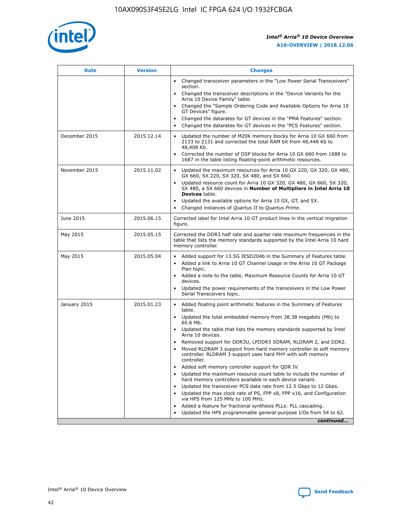

| <b>Date</b>   | <b>Version</b> | <b>Changes</b>                                                                                                                                                               |
|---------------|----------------|------------------------------------------------------------------------------------------------------------------------------------------------------------------------------|
|               |                | Changed transceiver parameters in the "Low Power Serial Transceivers"<br>$\bullet$<br>section.                                                                               |
|               |                | • Changed the transceiver descriptions in the "Device Variants for the<br>Arria 10 Device Family" table.                                                                     |
|               |                | • Changed the "Sample Ordering Code and Available Options for Arria 10<br>GT Devices" figure.                                                                                |
|               |                | Changed the datarates for GT devices in the "PMA Features" section.                                                                                                          |
|               |                | Changed the datarates for GT devices in the "PCS Features" section.<br>$\bullet$                                                                                             |
| December 2015 | 2015.12.14     | Updated the number of M20K memory blocks for Arria 10 GX 660 from<br>2133 to 2131 and corrected the total RAM bit from 48,448 Kb to<br>48,408 Kb.                            |
|               |                | Corrected the number of DSP blocks for Arria 10 GX 660 from 1688 to<br>$\bullet$<br>1687 in the table listing floating-point arithmetic resources.                           |
| November 2015 | 2015.11.02     | Updated the maximum resources for Arria 10 GX 220, GX 320, GX 480,<br>GX 660, SX 220, SX 320, SX 480, and SX 660.                                                            |
|               |                | Updated resource count for Arria 10 GX 320, GX 480, GX 660, SX 320,<br>SX 480, a SX 660 devices in Number of Multipliers in Intel Arria 10<br><b>Devices</b> table.          |
|               |                | Updated the available options for Arria 10 GX, GT, and SX.<br>$\bullet$                                                                                                      |
|               |                | Changed instances of Quartus II to Quartus Prime.<br>$\bullet$                                                                                                               |
| June 2015     | 2015.06.15     | Corrected label for Intel Arria 10 GT product lines in the vertical migration<br>figure.                                                                                     |
| May 2015      | 2015.05.15     | Corrected the DDR3 half rate and quarter rate maximum frequencies in the<br>table that lists the memory standards supported by the Intel Arria 10 hard<br>memory controller. |
| May 2015      | 2015.05.04     | • Added support for 13.5G JESD204b in the Summary of Features table.                                                                                                         |
|               |                | Added a link to Arria 10 GT Channel Usage in the Arria 10 GT Package<br>$\bullet$<br>Plan topic.                                                                             |
|               |                | • Added a note to the table, Maximum Resource Counts for Arria 10 GT<br>devices.                                                                                             |
|               |                | • Updated the power requirements of the transceivers in the Low Power<br>Serial Transceivers topic.                                                                          |
| January 2015  | 2015.01.23     | • Added floating point arithmetic features in the Summary of Features<br>table.                                                                                              |
|               |                | • Updated the total embedded memory from 38.38 megabits (Mb) to<br>65.6 Mb.                                                                                                  |
|               |                | • Updated the table that lists the memory standards supported by Intel<br>Arria 10 devices.                                                                                  |
|               |                | Removed support for DDR3U, LPDDR3 SDRAM, RLDRAM 2, and DDR2.                                                                                                                 |
|               |                | Moved RLDRAM 3 support from hard memory controller to soft memory<br>controller. RLDRAM 3 support uses hard PHY with soft memory<br>controller.                              |
|               |                | Added soft memory controller support for QDR IV.                                                                                                                             |
|               |                | Updated the maximum resource count table to include the number of<br>hard memory controllers available in each device variant.                                               |
|               |                | Updated the transceiver PCS data rate from 12.5 Gbps to 12 Gbps.                                                                                                             |
|               |                | Updated the max clock rate of PS, FPP x8, FPP x16, and Configuration<br>via HPS from 125 MHz to 100 MHz.                                                                     |
|               |                | Added a feature for fractional synthesis PLLs: PLL cascading.                                                                                                                |
|               |                | Updated the HPS programmable general-purpose I/Os from 54 to 62.<br>$\bullet$                                                                                                |
|               |                | continued                                                                                                                                                                    |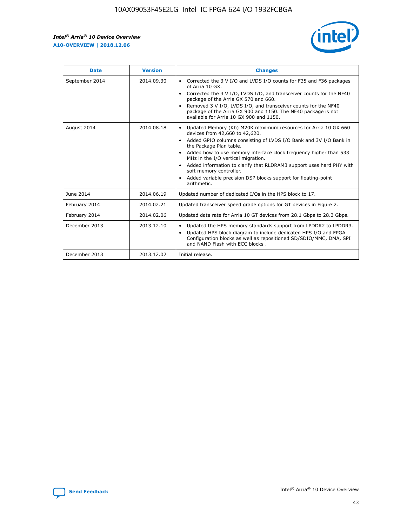r



| <b>Date</b>    | <b>Version</b> | <b>Changes</b>                                                                                                                                                                                                                                                                                                                                                                                                                                                                                                                         |
|----------------|----------------|----------------------------------------------------------------------------------------------------------------------------------------------------------------------------------------------------------------------------------------------------------------------------------------------------------------------------------------------------------------------------------------------------------------------------------------------------------------------------------------------------------------------------------------|
| September 2014 | 2014.09.30     | Corrected the 3 V I/O and LVDS I/O counts for F35 and F36 packages<br>of Arria 10 GX.<br>Corrected the 3 V I/O, LVDS I/O, and transceiver counts for the NF40<br>package of the Arria GX 570 and 660.<br>Removed 3 V I/O, LVDS I/O, and transceiver counts for the NF40<br>package of the Arria GX 900 and 1150. The NF40 package is not<br>available for Arria 10 GX 900 and 1150.                                                                                                                                                    |
| August 2014    | 2014.08.18     | Updated Memory (Kb) M20K maximum resources for Arria 10 GX 660<br>devices from 42,660 to 42,620.<br>Added GPIO columns consisting of LVDS I/O Bank and 3V I/O Bank in<br>$\bullet$<br>the Package Plan table.<br>Added how to use memory interface clock frequency higher than 533<br>$\bullet$<br>MHz in the I/O vertical migration.<br>Added information to clarify that RLDRAM3 support uses hard PHY with<br>$\bullet$<br>soft memory controller.<br>Added variable precision DSP blocks support for floating-point<br>arithmetic. |
| June 2014      | 2014.06.19     | Updated number of dedicated I/Os in the HPS block to 17.                                                                                                                                                                                                                                                                                                                                                                                                                                                                               |
| February 2014  | 2014.02.21     | Updated transceiver speed grade options for GT devices in Figure 2.                                                                                                                                                                                                                                                                                                                                                                                                                                                                    |
| February 2014  | 2014.02.06     | Updated data rate for Arria 10 GT devices from 28.1 Gbps to 28.3 Gbps.                                                                                                                                                                                                                                                                                                                                                                                                                                                                 |
| December 2013  | 2013.12.10     | Updated the HPS memory standards support from LPDDR2 to LPDDR3.<br>Updated HPS block diagram to include dedicated HPS I/O and FPGA<br>$\bullet$<br>Configuration blocks as well as repositioned SD/SDIO/MMC, DMA, SPI<br>and NAND Flash with ECC blocks.                                                                                                                                                                                                                                                                               |
| December 2013  | 2013.12.02     | Initial release.                                                                                                                                                                                                                                                                                                                                                                                                                                                                                                                       |